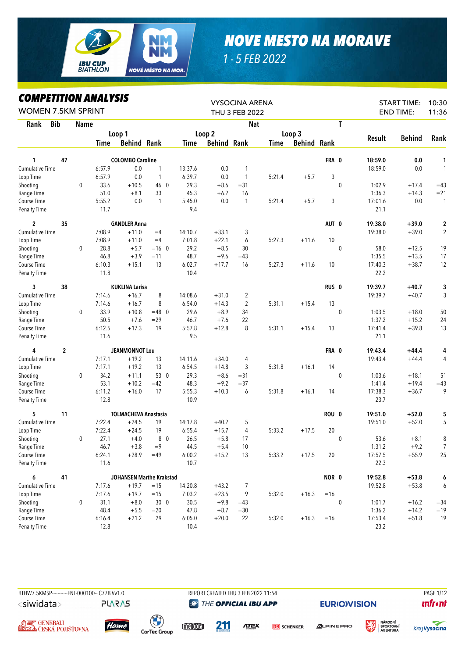

## *NOVE MESTO NA MORAVE*

*1 - 5 FEB 2022*

## *COMPETITION ANALYSIS*

| LUMPEIIIIUN ANALIƏIƏ<br><b>WOMEN 7.5KM SPRINT</b> |                |      |        |                             |              |         |                    | <b>VYSOCINA ARENA</b><br>THU 3 FEB 2022 |        |                    |                  |             |         | <b>START TIME:</b><br><b>END TIME:</b> | 10:30<br>11:36 |
|---------------------------------------------------|----------------|------|--------|-----------------------------|--------------|---------|--------------------|-----------------------------------------|--------|--------------------|------------------|-------------|---------|----------------------------------------|----------------|
| <b>Bib</b><br>Rank                                |                | Name |        |                             |              |         |                    | <b>Nat</b>                              |        |                    |                  | T           |         |                                        |                |
|                                                   |                |      |        | Loop 1                      |              |         | Loop <sub>2</sub>  |                                         |        | Loop 3             |                  |             |         |                                        |                |
|                                                   |                |      | Time   | <b>Behind Rank</b>          |              | Time    | <b>Behind Rank</b> |                                         | Time   | <b>Behind Rank</b> |                  |             | Result  | <b>Behind</b>                          | Rank           |
| 1                                                 | 47             |      |        | <b>COLOMBO Caroline</b>     |              |         |                    |                                         |        |                    | FRA 0            |             | 18:59.0 | 0.0                                    | 1              |
| <b>Cumulative Time</b>                            |                |      | 6:57.9 | 0.0                         | 1            | 13:37.6 | 0.0                | 1                                       |        |                    |                  |             | 18:59.0 | 0.0                                    | $\mathbf{1}$   |
| Loop Time                                         |                |      | 6:57.9 | 0.0                         | 1            | 6:39.7  | 0.0                | $\mathbf{1}$                            | 5:21.4 | $+5.7$             | 3                |             |         |                                        |                |
| Shooting                                          |                | 0    | 33.6   | $+10.5$                     | 46 0         | 29.3    | $+8.6$             | $= 31$                                  |        |                    |                  | $\mathbf 0$ | 1:02.9  | $+17.4$                                | $=43$          |
| Range Time                                        |                |      | 51.0   | $+8.1$                      | 33           | 45.3    | $+6.2$             | 16                                      |        |                    |                  |             | 1:36.3  | $+14.3$                                | $= 21$         |
| Course Time                                       |                |      | 5:55.2 | 0.0                         | $\mathbf{1}$ | 5:45.0  | 0.0                | 1                                       | 5:21.4 | $+5.7$             | 3                |             | 17:01.6 | 0.0                                    | $\mathbf{1}$   |
| <b>Penalty Time</b>                               |                |      | 11.7   |                             |              | 9.4     |                    |                                         |        |                    |                  |             | 21.1    |                                        |                |
| $\overline{c}$                                    | 35             |      |        | <b>GANDLER Anna</b>         |              |         |                    |                                         |        |                    | AUT 0            |             | 19:38.0 | $+39.0$                                | $\mathbf 2$    |
| Cumulative Time                                   |                |      | 7:08.9 | $+11.0$                     | $=4$         | 14:10.7 | $+33.1$            | 3                                       |        |                    |                  |             | 19:38.0 | $+39.0$                                | $\overline{c}$ |
| Loop Time                                         |                |      | 7:08.9 | $+11.0$                     | $=4$         | 7:01.8  | $+22.1$            | 6                                       | 5:27.3 | $+11.6$            | 10               |             |         |                                        |                |
| Shooting                                          |                | 0    | 28.8   | $+5.7$                      | $=16$ 0      | 29.2    | $+8.5$             | 30                                      |        |                    |                  | 0           | 58.0    | $+12.5$                                | 19             |
| Range Time                                        |                |      | 46.8   | $+3.9$                      | $=11$        | 48.7    | $+9.6$             | $=43$                                   |        |                    |                  |             | 1:35.5  | $+13.5$                                | 17             |
| Course Time                                       |                |      | 6:10.3 | $+15.1$                     | 13           | 6:02.7  | $+17.7$            | 16                                      | 5:27.3 | $+11.6$            | 10               |             | 17:40.3 | $+38.7$                                | 12             |
| Penalty Time                                      |                |      | 11.8   |                             |              | 10.4    |                    |                                         |        |                    |                  |             | 22.2    |                                        |                |
| 3                                                 | 38             |      |        | <b>KUKLINA Larisa</b>       |              |         |                    |                                         |        |                    | RUS <sub>0</sub> |             | 19:39.7 | $+40.7$                                | 3              |
| <b>Cumulative Time</b>                            |                |      | 7:14.6 | $+16.7$                     | 8            | 14:08.6 | $+31.0$            | 2                                       |        |                    |                  |             | 19:39.7 | $+40.7$                                | 3              |
| Loop Time                                         |                |      | 7:14.6 | $+16.7$                     | 8            | 6:54.0  | $+14.3$            | 2                                       | 5:31.1 | $+15.4$            | 13               |             |         |                                        |                |
| Shooting                                          |                | 0    | 33.9   | $+10.8$                     | $=48$ 0      | 29.6    | $+8.9$             | 34                                      |        |                    |                  | $\mathbf 0$ | 1:03.5  | $+18.0$                                | 50             |
| Range Time                                        |                |      | 50.5   | $+7.6$                      | $=29$        | 46.7    | $+7.6$             | 22                                      |        |                    |                  |             | 1:37.2  | $+15.2$                                | 24             |
| Course Time                                       |                |      | 6:12.5 | $+17.3$                     | 19           | 5:57.8  | $+12.8$            | 8                                       | 5:31.1 | $+15.4$            | 13               |             | 17:41.4 | $+39.8$                                | 13             |
| <b>Penalty Time</b>                               |                |      | 11.6   |                             |              | 9.5     |                    |                                         |        |                    |                  |             | 21.1    |                                        |                |
| 4                                                 | $\overline{2}$ |      |        | <b>JEANMONNOT Lou</b>       |              |         |                    |                                         |        |                    | FRA 0            |             | 19:43.4 | $+44.4$                                | 4              |
| Cumulative Time                                   |                |      | 7:17.1 | $+19.2$                     | 13           | 14:11.6 | $+34.0$            | 4                                       |        |                    |                  |             | 19:43.4 | $+44.4$                                | 4              |
| Loop Time                                         |                |      | 7:17.1 | $+19.2$                     | 13           | 6:54.5  | $+14.8$            | 3                                       | 5:31.8 | $+16.1$            | 14               |             |         |                                        |                |
| Shooting                                          |                | 0    | 34.2   | $+11.1$                     | 53 0         | 29.3    | $+8.6$             | $= 31$                                  |        |                    |                  | 0           | 1:03.6  | $+18.1$                                | 51             |
| Range Time                                        |                |      | 53.1   | $+10.2$                     | $=42$        | 48.3    | $+9.2$             | $= 37$                                  |        |                    |                  |             | 1:41.4  | $+19.4$                                | $=43$          |
| Course Time                                       |                |      | 6:11.2 | $+16.0$                     | 17           | 5:55.3  | $+10.3$            | 6                                       | 5:31.8 | $+16.1$            | 14               |             | 17:38.3 | $+36.7$                                | 9              |
| <b>Penalty Time</b>                               |                |      | 12.8   |                             |              | 10.9    |                    |                                         |        |                    |                  |             | 23.7    |                                        |                |
| 5                                                 | 11             |      |        | <b>TOLMACHEVA Anastasia</b> |              |         |                    |                                         |        |                    | ROU 0            |             | 19:51.0 | $+52.0$                                | 5              |
| <b>Cumulative Time</b>                            |                |      | 7:22.4 | $+24.5$                     | 19           | 14:17.8 | $+40.2$            | 5                                       |        |                    |                  |             | 19:51.0 | $+52.0$                                | 5              |
| Loop Time                                         |                |      | 7:22.4 | $+24.5$                     | 19           | 6:55.4  | $+15.7$            | 4                                       | 5:33.2 | $+17.5$            | 20               |             |         |                                        |                |
| Shooting                                          |                | 0    | 27.1   | $+4.0$                      | 8 0          | 26.5    | $+5.8$             | 17                                      |        |                    |                  | $\mathbf 0$ | 53.6    | $+8.1$                                 | 8              |
| Range Time                                        |                |      | 46.7   | $+3.8$                      | $=9$         | 44.5    | $+5.4$             | 10                                      |        |                    |                  |             | 1:31.2  | $+9.2$                                 | $\overline{7}$ |
| Course Time                                       |                |      | 6:24.1 | $+28.9$                     | $=49$        | 6:00.2  | $+15.2$            | 13                                      | 5:33.2 | $+17.5$            | 20               |             | 17:57.5 | $+55.9$                                | 25             |
| <b>Penalty Time</b>                               |                |      | 11.6   |                             |              | 10.7    |                    |                                         |        |                    |                  |             | 22.3    |                                        |                |
| 6                                                 | 41             |      |        | JOHANSEN Marthe Krakstad    |              |         |                    |                                         |        |                    | NOR 0            |             | 19:52.8 | $+53.8$                                | 6              |
| Cumulative Time                                   |                |      | 7:17.6 | $+19.7$                     | $=15$        | 14:20.8 | $+43.2$            | 7                                       |        |                    |                  |             | 19:52.8 | $+53.8$                                | 6              |
| Loop Time                                         |                |      | 7:17.6 | $+19.7$                     | $=15$        | 7:03.2  | $+23.5$            | 9                                       | 5:32.0 | $+16.3$            | $=16$            |             |         |                                        |                |
| Shooting                                          |                | 0    | 31.1   | $+8.0$                      | 300          | 30.5    | $+9.8$             | $=43$                                   |        |                    |                  | $\mathbf 0$ | 1:01.7  | $+16.2$                                | $= 34$         |
| Range Time                                        |                |      | 48.4   | $+5.5$                      | $=20$        | 47.8    | $+8.7$             | $= 30$                                  |        |                    |                  |             | 1:36.2  | $+14.2$                                | $=19$          |
| Course Time                                       |                |      | 6:16.4 | $+21.2$                     | 29           | 6:05.0  | $+20.0$            | 22                                      | 5:32.0 | $+16.3$            | $=16$            |             | 17:53.4 | $+51.8$                                | 19             |
| Penalty Time                                      |                |      | 12.8   |                             |              | 10.4    |                    |                                         |        |                    |                  |             | 23.2    |                                        |                |

<siwidata>

**PLARAS** 

BTHW7.5KMSP----------FNL-000100-- C77B W1.0. REPORT CREATED THU 3 FEB 2022 11:54 PAGE 1/12 **THE OFFICIAL IBU APP** 

**EURIO)VISION** 







meopla

**211** 

**ATEX DB** SCHENKER  $\triangle$ LPINE PRO





**unfront**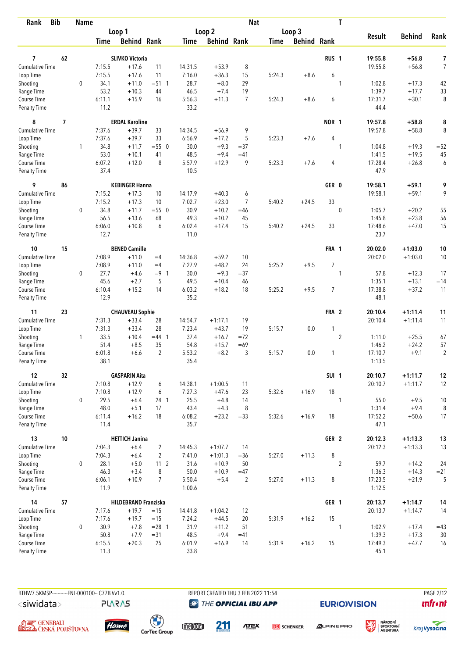| <b>Bib</b><br>Rank                 |                          | <b>Name</b>  |                |                             |                 |                |                    | <b>Nat</b>     |             |                    |                  | T              |                 |               |                |
|------------------------------------|--------------------------|--------------|----------------|-----------------------------|-----------------|----------------|--------------------|----------------|-------------|--------------------|------------------|----------------|-----------------|---------------|----------------|
|                                    |                          |              |                | Loop 1                      |                 |                | Loop 2             |                |             | Loop 3             |                  |                |                 |               |                |
|                                    |                          |              | Time           | <b>Behind Rank</b>          |                 | Time           | <b>Behind Rank</b> |                | <b>Time</b> | <b>Behind Rank</b> |                  |                | <b>Result</b>   | <b>Behind</b> | Rank           |
| 7                                  | 62                       |              |                | <b>SLIVKO Victoria</b>      |                 |                |                    |                |             |                    | RUS <sub>1</sub> |                | 19:55.8         | $+56.8$       | 7              |
| <b>Cumulative Time</b>             |                          |              | 7:15.5         | $+17.6$                     | 11              | 14:31.5        | $+53.9$            | 8              |             |                    |                  |                | 19:55.8         | $+56.8$       | $\overline{7}$ |
| Loop Time                          |                          |              | 7:15.5         | $+17.6$                     | 11              | 7:16.0         | $+36.3$            | 15             | 5:24.3      | $+8.6$             | 6                |                |                 |               |                |
| Shooting                           |                          | $\mathbf 0$  | 34.1           | $+11.0$                     | $= 51 \quad 1$  | 28.7           | $+8.0$             | 29             |             |                    |                  | 1              | 1:02.8          | $+17.3$       | 42             |
| Range Time                         |                          |              | 53.2           | $+10.3$                     | 44              | 46.5           | $+7.4$             | 19             |             |                    |                  |                | 1:39.7          | $+17.7$       | 33             |
| Course Time                        |                          |              | 6:11.1         | $+15.9$                     | 16              | 5:56.3         | $+11.3$            | $\overline{7}$ | 5:24.3      | $+8.6$             | 6                |                | 17:31.7         | $+30.1$       | 8              |
| <b>Penalty Time</b>                |                          |              | 11.2           |                             |                 | 33.2           |                    |                |             |                    |                  |                | 44.4            |               |                |
| 8                                  | $\overline{\phantom{a}}$ |              |                | <b>ERDAL Karoline</b>       |                 |                |                    |                |             |                    | NOR 1            |                | 19:57.8         | $+58.8$       | 8              |
| Cumulative Time                    |                          |              | 7:37.6         | $+39.7$                     | 33              | 14:34.5        | $+56.9$            | 9              |             |                    |                  |                | 19:57.8         | $+58.8$       | 8              |
| Loop Time                          |                          |              | 7:37.6         | $+39.7$                     | 33              | 6:56.9         | $+17.2$            | 5              | 5:23.3      | $+7.6$             | 4                |                |                 |               |                |
| Shooting                           |                          | $\mathbf{1}$ | 34.8           | $+11.7$                     | $= 550$         | 30.0           | $+9.3$             | $= 37$         |             |                    |                  | $\mathbf{1}$   | 1:04.8          | $+19.3$       | $= 52$         |
| Range Time                         |                          |              | 53.0           | $+10.1$                     | 41              | 48.5           | $+9.4$             | $=41$          |             |                    |                  |                | 1:41.5          | $+19.5$       | 45             |
| Course Time                        |                          |              | 6:07.2         | $+12.0$                     | 8               | 5:57.9         | $+12.9$            | 9              | 5:23.3      | $+7.6$             | 4                |                | 17:28.4         | $+26.8$       | 6              |
| <b>Penalty Time</b>                |                          |              | 37.4           |                             |                 | 10.5           |                    |                |             |                    |                  |                | 47.9            |               |                |
| 9                                  | 86                       |              |                | <b>KEBINGER Hanna</b>       |                 |                |                    |                |             |                    | GER 0            |                | 19:58.1         | $+59.1$       | 9              |
| <b>Cumulative Time</b>             |                          |              | 7:15.2         | $+17.3$                     | 10              | 14:17.9        | $+40.3$            | 6              |             |                    |                  |                | 19:58.1         | $+59.1$       | 9              |
| Loop Time                          |                          |              | 7:15.2         | $+17.3$                     | 10              | 7:02.7         | $+23.0$            | $\overline{7}$ | 5:40.2      | $+24.5$            | 33               |                |                 |               |                |
| Shooting                           |                          | $\mathbf 0$  | 34.8           | $+11.7$                     | $= 550$         | 30.9           | $+10.2$            | $=46$          |             |                    |                  | $\mathbf 0$    | 1:05.7          | $+20.2$       | 55             |
| Range Time                         |                          |              | 56.5           | $+13.6$                     | 68              | 49.3           | $+10.2$            | 45             |             |                    |                  |                | 1:45.8          | $+23.8$       | 56             |
| Course Time<br><b>Penalty Time</b> |                          |              | 6:06.0<br>12.7 | $+10.8$                     | 6               | 6:02.4<br>11.0 | $+17.4$            | 15             | 5:40.2      | $+24.5$            | 33               |                | 17:48.6<br>23.7 | $+47.0$       | 15             |
| 10                                 | 15                       |              |                | <b>BENED Camille</b>        |                 |                |                    |                |             |                    | FRA 1            |                | 20:02.0         | $+1:03.0$     | 10             |
| <b>Cumulative Time</b>             |                          |              | 7:08.9         | $+11.0$                     | $=4$            | 14:36.8        | $+59.2$            | 10             |             |                    |                  |                | 20:02.0         | $+1:03.0$     | 10             |
| Loop Time                          |                          |              | 7:08.9         | $+11.0$                     | $=4$            | 7:27.9         | $+48.2$            | 24             | 5:25.2      | $+9.5$             | $\overline{7}$   |                |                 |               |                |
| Shooting                           |                          | $\mathbf 0$  | 27.7           | $+4.6$                      | $= 9 \quad 1$   | 30.0           | $+9.3$             | $=37$          |             |                    |                  | 1              | 57.8            | $+12.3$       | 17             |
| Range Time                         |                          |              | 45.6           | $+2.7$                      | 5               | 49.5           | $+10.4$            | 46             |             |                    |                  |                | 1:35.1          | $+13.1$       | $=14$          |
| Course Time                        |                          |              | 6:10.4         | $+15.2$                     | 14              | 6:03.2         | $+18.2$            | 18             | 5:25.2      | $+9.5$             | $\overline{7}$   |                | 17:38.8         | $+37.2$       | 11             |
| <b>Penalty Time</b>                |                          |              | 12.9           |                             |                 | 35.2           |                    |                |             |                    |                  |                | 48.1            |               |                |
| 11                                 | 23                       |              |                | <b>CHAUVEAU Sophie</b>      |                 |                |                    |                |             |                    | FRA 2            |                | 20:10.4         | $+1:11.4$     | 11             |
| Cumulative Time                    |                          |              | 7:31.3         | $+33.4$                     | 28              | 14:54.7        | $+1:17.1$          | 19             |             |                    |                  |                | 20:10.4         | $+1:11.4$     | 11             |
| Loop Time                          |                          |              | 7:31.3         | $+33.4$                     | 28              | 7:23.4         | $+43.7$            | 19             | 5:15.7      | 0.0                | 1                |                |                 |               |                |
| Shooting                           |                          | 1            | 33.5           | $+10.4$                     | $=44$ 1         | 37.4           | $+16.7$            | $=72$          |             |                    |                  | $\overline{2}$ | 1:11.0          | $+25.5$       | 67             |
| Range Time                         |                          |              | 51.4           | $+8.5$                      | 35              | 54.8           | $+15.7$            | $=69$          |             |                    |                  |                | 1:46.2          | $+24.2$       | 57             |
| Course Time                        |                          |              | 6:01.8         | $+6.6$                      | $\overline{2}$  | 5:53.2         | $+8.2$             | 3              | 5:15.7      | 0.0                | 1                |                | 17:10.7         | $+9.1$        | $\overline{2}$ |
| <b>Penalty Time</b>                |                          |              | 38.1           |                             |                 | 35.4           |                    |                |             |                    |                  |                | 1:13.5          |               |                |
| 12                                 | 32                       |              |                | <b>GASPARIN Aita</b>        |                 |                |                    |                |             |                    | SUI <sub>1</sub> |                | 20:10.7         | $+1:11.7$     | 12             |
| Cumulative Time                    |                          |              | 7:10.8         | $+12.9$                     | 6               | 14:38.1        | $+1:00.5$          | 11             |             |                    |                  |                | 20:10.7         | $+1:11.7$     | 12             |
| Loop Time                          |                          |              | 7:10.8         | $+12.9$                     | 6               | 7:27.3         | $+47.6$            | 23             | 5:32.6      | $+16.9$            | 18               |                |                 |               |                |
| Shooting                           |                          | $\mathbf 0$  | 29.5           | $+6.4$                      | $24 \quad 1$    | 25.5           | $+4.8$             | 14             |             |                    |                  | 1              | 55.0            | $+9.5$        | 10             |
| Range Time                         |                          |              | 48.0           | $+5.1$                      | 17              | 43.4           | $+4.3$             | 8              |             |                    |                  |                | 1:31.4          | $+9.4$        | 8              |
| Course Time<br>Penalty Time        |                          |              | 6:11.4<br>11.4 | $+16.2$                     | 18              | 6:08.2<br>35.7 | $+23.2$            | $=33$          | 5:32.6      | $+16.9$            | 18               |                | 17:52.2<br>47.1 | $+50.6$       | 17             |
| 13                                 | 10                       |              |                | <b>HETTICH Janina</b>       |                 |                |                    |                |             |                    | GER 2            |                | 20:12.3         | $+1:13.3$     | 13             |
| Cumulative Time                    |                          |              | 7:04.3         | $+6.4$                      | $\overline{2}$  | 14:45.3        | $+1:07.7$          | 14             |             |                    |                  |                | 20:12.3         | $+1:13.3$     | 13             |
| Loop Time                          |                          |              | 7:04.3         | $+6.4$                      | $\overline{2}$  | 7:41.0         | $+1:01.3$          | $= 36$         | 5:27.0      | $+11.3$            | 8                |                |                 |               |                |
| Shooting                           |                          | $\mathbf 0$  | 28.1           | $+5.0$                      | 11 <sub>2</sub> | 31.6           | $+10.9$            | 50             |             |                    |                  | $\overline{2}$ | 59.7            | $+14.2$       | 24             |
| Range Time                         |                          |              | 46.3           | $+3.4$                      | 8               | 50.0           | $+10.9$            | $=47$          |             |                    |                  |                | 1:36.3          | $+14.3$       | $= 21$         |
| Course Time                        |                          |              | 6:06.1         | $+10.9$                     | $\overline{7}$  | 5:50.4         | $+5.4$             | $\overline{2}$ | 5:27.0      | $+11.3$            | 8                |                | 17:23.5         | $+21.9$       | 5              |
| Penalty Time                       |                          |              | 11.9           |                             |                 | 1:00.6         |                    |                |             |                    |                  |                | 1:12.5          |               |                |
| 14                                 | 57                       |              |                | <b>HILDEBRAND Franziska</b> |                 |                |                    |                |             |                    | GER 1            |                | 20:13.7         | $+1:14.7$     | 14             |
| Cumulative Time                    |                          |              | 7:17.6         | $+19.7$                     | $=15$           | 14:41.8        | $+1:04.2$          | 12             |             |                    |                  |                | 20:13.7         | $+1:14.7$     | 14             |
| Loop Time                          |                          |              | 7:17.6         | $+19.7$                     | $=15$           | 7:24.2         | $+44.5$            | 20             | 5:31.9      | $+16.2$            | 15               |                |                 |               |                |
| Shooting                           |                          | 0            | 30.9           | $+7.8$                      | $= 28$ 1        | 31.9           | $+11.2$            | 51             |             |                    |                  | 1              | 1:02.9          | $+17.4$       | $=43$          |
| Range Time                         |                          |              | 50.8           | $+7.9$                      | $= 31$          | 48.5           | $+9.4$             | $=41$          |             |                    |                  |                | 1:39.3          | $+17.3$       | 30             |
| Course Time                        |                          |              | 6:15.5         | $+20.3$                     | 25              | 6:01.9         | $+16.9$            | 14             | 5:31.9      | $+16.2$            | 15               |                | 17:49.3         | $+47.7$       | 16             |
| <b>Penalty Time</b>                |                          |              | 11.3           |                             |                 | 33.8           |                    |                |             |                    |                  |                | 45.1            |               |                |

**PLARAS** 

BTHW7.5KMSP----------FNL-000100-- C77B Vv1.0. REPORT CREATED THU 3 FEB 2022 11:54 PAGE 2/12 **@** THE OFFICIAL IBU APP

**EURIO)VISION** 

姿

 $\mathbf{u}$ front







 $\begin{pmatrix} 1 \\ 1 \end{pmatrix}$ <br>CarTec Group meona

211

**ATEX DB** SCHENKER



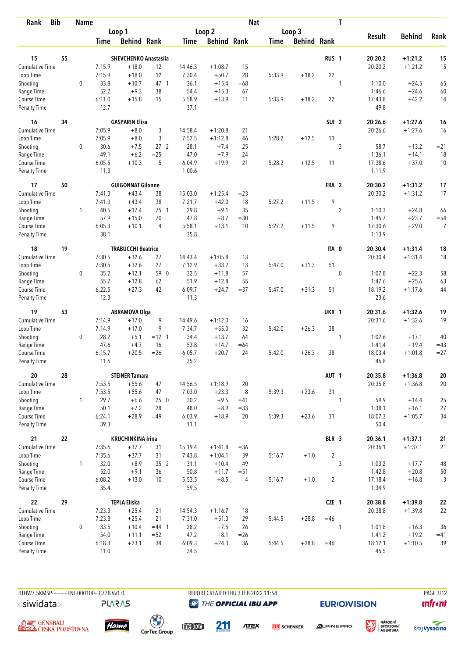| <b>Bib</b><br>Rank                 |    | <b>Name</b>  |                |                              |                 |                |                    | <b>Nat</b> |             |                    |                  | T              |                   |               |                |
|------------------------------------|----|--------------|----------------|------------------------------|-----------------|----------------|--------------------|------------|-------------|--------------------|------------------|----------------|-------------------|---------------|----------------|
|                                    |    |              |                | Loop 1                       |                 |                | Loop <sub>2</sub>  |            |             | Loop 3             |                  |                |                   |               |                |
|                                    |    |              | <b>Time</b>    | <b>Behind Rank</b>           |                 | Time           | <b>Behind Rank</b> |            | <b>Time</b> | <b>Behind Rank</b> |                  |                | <b>Result</b>     | <b>Behind</b> | Rank           |
| 15                                 | 55 |              |                | <b>SHEVCHENKO Anastasiia</b> |                 |                |                    |            |             |                    | RUS <sub>1</sub> |                | 20:20.2           | $+1:21.2$     | 15             |
| <b>Cumulative Time</b>             |    |              | 7:15.9         | $+18.0$                      | 12              | 14:46.3        | $+1:08.7$          | 15         |             |                    |                  |                | 20:20.2           | $+1:21.2$     | 15             |
| Loop Time                          |    |              | 7:15.9         | $+18.0$                      | 12              | 7:30.4         | $+50.7$            | 28         | 5:33.9      | $+18.2$            | 22               |                |                   |               |                |
| Shooting                           |    | $\mathbf 0$  | 33.8           | $+10.7$                      | 47 1            | 36.1           | $+15.4$            | $=68$      |             |                    |                  | 1              | 1:10.0            | $+24.5$       | 65             |
| Range Time                         |    |              | 52.2           | $+9.3$                       | 38              | 54.4           | $+15.3$            | 67         |             |                    |                  |                | 1:46.6            | $+24.6$       | 60             |
| Course Time                        |    |              | 6:11.0         | $+15.8$                      | 15              | 5:58.9         | $+13.9$            | 11         | 5:33.9      | $+18.2$            | 22               |                | 17:43.8           | $+42.2$       | 14             |
| <b>Penalty Time</b>                |    |              | 12.7           |                              |                 | 37.1           |                    |            |             |                    |                  |                | 49.8              |               |                |
| 16                                 | 34 |              |                | <b>GASPARIN Elisa</b>        |                 |                |                    |            |             |                    | SUI <sub>2</sub> |                | 20:26.6           | $+1:27.6$     | 16             |
| <b>Cumulative Time</b>             |    |              | 7:05.9         | $+8.0$                       | 3               | 14:58.4        | $+1:20.8$          | 21         |             |                    |                  |                | 20:26.6           | $+1:27.6$     | 16             |
| Loop Time                          |    |              | 7:05.9         | $+8.0$                       | 3               | 7:52.5         | $+1:12.8$          | 46         | 5:28.2      | $+12.5$            | 11               |                |                   |               |                |
| Shooting                           |    | 0            | 30.6           | $+7.5$                       | 27 <sub>2</sub> | 28.1           | $+7.4$             | 25         |             |                    |                  | $\overline{2}$ | 58.7              | $+13.2$       | $= 21$         |
| Range Time                         |    |              | 49.1           | $+6.2$                       | $=25$           | 47.0           | $+7.9$             | 24         |             |                    |                  |                | 1:36.1            | $+14.1$       | 18             |
| Course Time                        |    |              | 6:05.5         | $+10.3$                      | 5               | 6:04.9         | $+19.9$            | 21         | 5:28.2      | $+12.5$            | 11               |                | 17:38.6           | $+37.0$       | 10             |
| <b>Penalty Time</b>                |    |              | 11.3           |                              |                 | 1:00.6         |                    |            |             |                    |                  |                | 1:11.9            |               |                |
| 17                                 | 50 |              |                | <b>GUIGONNAT Gilonne</b>     |                 |                |                    |            |             |                    | FRA 2            |                | 20:30.2           | $+1:31.2$     | 17             |
| <b>Cumulative Time</b>             |    |              | 7:41.3         | $+43.4$                      | 38              | 15:03.0        | $+1:25.4$          | $= 23$     |             |                    |                  |                | 20:30.2           | $+1:31.2$     | 17             |
| Loop Time                          |    |              | 7:41.3         | $+43.4$                      | 38              | 7:21.7         | $+42.0$            | 18         | 5:27.2      | $+11.5$            | 9                |                |                   |               |                |
| Shooting                           |    | $\mathbf{1}$ | 40.5           | $+17.4$                      | 75 1            | 29.8           | $+9.1$             | 35         |             |                    |                  | $\overline{c}$ | 1:10.3            | $+24.8$       | 66             |
| Range Time                         |    |              | 57.9           | $+15.0$                      | 70              | 47.8           | $+8.7$             | $=30$      |             |                    |                  |                | 1:45.7            | $+23.7$       | $= 54$         |
| Course Time<br><b>Penalty Time</b> |    |              | 6:05.3<br>38.1 | $+10.1$                      | 4               | 5:58.1<br>35.8 | $+13.1$            | 10         | 5:27.2      | $+11.5$            | 9                |                | 17:30.6<br>1:13.9 | $+29.0$       | $\overline{7}$ |
| 18                                 | 19 |              |                | <b>TRABUCCHI Beatrice</b>    |                 |                |                    |            |             |                    | ITA 0            |                | 20:30.4           | $+1:31.4$     | 18             |
| Cumulative Time                    |    |              | 7:30.5         | $+32.6$                      | 27              | 14:43.4        | $+1:05.8$          | 13         |             |                    |                  |                | 20:30.4           | $+1:31.4$     | 18             |
| Loop Time                          |    |              | 7:30.5         | $+32.6$                      | 27              | 7:12.9         | $+33.2$            | 13         | 5:47.0      | $+31.3$            | 51               |                |                   |               |                |
| Shooting                           |    | 0            | 35.2           | $+12.1$                      | 59 0            | 32.5           | $+11.8$            | 57         |             |                    |                  | $\mathbf 0$    | 1:07.8            | $+22.3$       | 58             |
| Range Time                         |    |              | 55.7           | $+12.8$                      | 62              | 51.9           | $+12.8$            | 55         |             |                    |                  |                | 1:47.6            | $+25.6$       | 63             |
| Course Time                        |    |              | 6:22.5         | $+27.3$                      | 42              | 6:09.7         | $+24.7$            | $= 37$     | 5:47.0      | $+31.3$            | 51               |                | 18:19.2           | $+1:17.6$     | 44             |
| <b>Penalty Time</b>                |    |              | 12.3           |                              |                 | 11.3           |                    |            |             |                    |                  |                | 23.6              |               |                |
| 19                                 | 53 |              |                | <b>ABRAMOVA Olga</b>         |                 |                |                    |            |             |                    | UKR 1            |                | 20:31.6           | $+1:32.6$     | 19             |
| <b>Cumulative Time</b>             |    |              | 7:14.9         | $+17.0$                      | 9               | 14:49.6        | $+1:12.0$          | 16         |             |                    |                  |                | 20:31.6           | $+1:32.6$     | 19             |
| Loop Time                          |    |              | 7:14.9         | $+17.0$                      | 9               | 7:34.7         | $+55.0$            | 32         | 5:42.0      | $+26.3$            | 38               |                |                   |               |                |
| Shooting                           |    | 0            | 28.2           | $+5.1$                       | $= 12 \quad 1$  | 34.4           | $+13.7$            | 64         |             |                    |                  | 1              | 1:02.6            | $+17.1$       | 40             |
| Range Time                         |    |              | 47.6           | $+4.7$                       | 16              | 53.8           | $+14.7$            | $=64$      |             |                    |                  |                | 1:41.4            | $+19.4$       | $=43$          |
| Course Time<br><b>Penalty Time</b> |    |              | 6:15.7<br>11.6 | $+20.5$                      | $=26$           | 6:05.7<br>35.2 | $+20.7$            | 24         | 5:42.0      | $+26.3$            | 38               |                | 18:03.4<br>46.8   | $+1:01.8$     | $= 27$         |
| 20                                 | 28 |              |                | <b>STEINER Tamara</b>        |                 |                |                    |            |             |                    | AUT <sub>1</sub> |                | 20:35.8           | $+1:36.8$     | ${\bf 20}$     |
| <b>Cumulative Time</b>             |    |              | 7:53.5         | $+55.6$                      | 47              | 14:56.5        | $+1:18.9$          | 20         |             |                    |                  |                | 20:35.8           | $+1:36.8$     | 20             |
| Loop Time                          |    |              | 7:53.5         | $+55.6$                      | 47              | 7:03.0         | $+23.3$            | 8          | 5:39.3      | $+23.6$            | 31               |                |                   |               |                |
| Shooting                           |    | $\mathbf{1}$ | 29.7           | $+6.6$                       | 250             | 30.2           | $+9.5$             | $=41$      |             |                    |                  | 1              | 59.9              | $+14.4$       | 25             |
| Range Time                         |    |              | 50.1           | $+7.2$                       | 28              | 48.0           | $+8.9$             | $= 33$     |             |                    |                  |                | 1:38.1            | $+16.1$       | 27             |
| Course Time                        |    |              | 6:24.1         | $+28.9$                      | $=49$           | 6:03.9         | $+18.9$            | 20         | 5:39.3      | $+23.6$            | 31               |                | 18:07.3           | $+1:05.7$     | 34             |
| Penalty Time                       |    |              | 39.3           |                              |                 | 11.1           |                    |            |             |                    |                  |                | 50.4              |               |                |
| 21                                 | 22 |              |                | <b>KRUCHINKINA Irina</b>     |                 |                |                    |            |             |                    | BLR 3            |                | 20:36.1           | $+1:37.1$     | 21             |
| <b>Cumulative Time</b>             |    |              | 7:35.6         | $+37.7$                      | 31              | 15:19.4        | $+1:41.8$          | $= 36$     |             |                    |                  |                | 20:36.1           | $+1:37.1$     | 21             |
| Loop Time                          |    |              | 7:35.6         | $+37.7$                      | 31              | 7:43.8         | $+1:04.1$          | 39         | 5:16.7      | $+1.0$             | $\overline{2}$   |                |                   |               |                |
| Shooting                           |    | $\mathbf{1}$ | 32.0           | $+8.9$                       | 35 2            | 31.1           | $+10.4$            | 49         |             |                    |                  | 3              | 1:03.2            | $+17.7$       | 48             |
| Range Time                         |    |              | 52.0           | $+9.1$                       | 36              | 50.8           | $+11.7$            | $= 51$     |             |                    |                  |                | 1:42.8            | $+20.8$       | 50             |
| Course Time<br>Penalty Time        |    |              | 6:08.2<br>35.4 | $+13.0$                      | 10              | 5:53.5<br>59.5 | $+8.5$             | 4          | 5:16.7      | $+1.0$             | $\overline{2}$   |                | 17:18.4<br>1:34.9 | $+16.8$       | 3              |
| 22                                 | 29 |              |                | <b>TEPLA Eliska</b>          |                 |                |                    |            |             |                    | CZE 1            |                | 20:38.8           | $+1:39.8$     | ${\bf 22}$     |
| <b>Cumulative Time</b>             |    |              | 7:23.3         | $+25.4$                      | 21              | 14:54.3        | $+1:16.7$          | 18         |             |                    |                  |                | 20:38.8           | $+1:39.8$     | 22             |
| Loop Time                          |    |              | 7:23.3         | $+25.4$                      | 21              | 7:31.0         | $+51.3$            | 29         | 5:44.5      | $+28.8$            | $=46$            |                |                   |               |                |
| Shooting                           |    | 0            | 33.5           | $+10.4$                      | $=44$ 1         | 28.2           | $+7.5$             | 26         |             |                    |                  | 1              | 1:01.8            | $+16.3$       | 36             |
| Range Time                         |    |              | 54.0           | $+11.1$                      | $= 52$          | 47.2           | $+8.1$             | $=26$      |             |                    |                  |                | 1:41.2            | $+19.2$       | $=41$          |
| Course Time                        |    |              | 6:18.3         | $+23.1$                      | 34              | 6:09.3         | $+24.3$            | 36         | 5:44.5      | $+28.8$            | $=46$            |                | 18:12.1           | $+1:10.5$     | 39             |
| Penalty Time                       |    |              | 11.0           |                              |                 | 34.5           |                    |            |             |                    |                  |                | 45.5              |               |                |

BTHW7.5KMSP----------FNL-000100-- C77B Vv1.0. <siwidata>

**PLARAS** 

REPORT CREATED THU 3 FEB 2022 11:54 **@ THE OFFICIAL IBU APP** 

**EURIO)VISION** 

溪







 $\begin{pmatrix} 1 \\ 1 \end{pmatrix}$ <br>CarTec Group

meona 211

**ATEX DB** SCHENKER



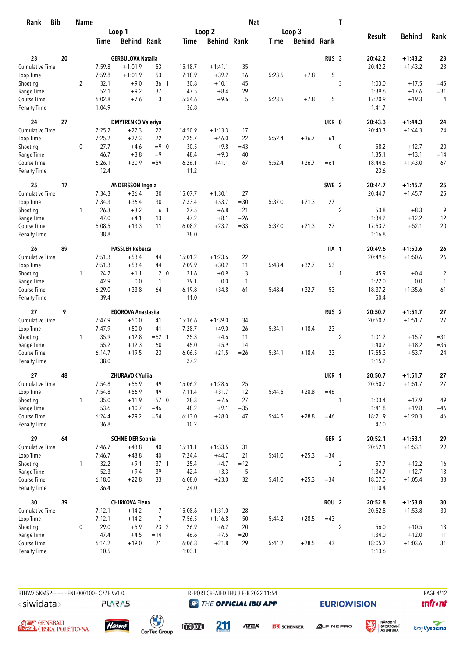| Rank                               | <b>Bib</b> | Name           |                |                           |                 |                |                    | <b>Nat</b>   |        |                    |                  | T              |                   |               |                |
|------------------------------------|------------|----------------|----------------|---------------------------|-----------------|----------------|--------------------|--------------|--------|--------------------|------------------|----------------|-------------------|---------------|----------------|
|                                    |            |                |                | Loop 1                    |                 |                | Loop <sub>2</sub>  |              |        | Loop 3             |                  |                |                   |               |                |
|                                    |            |                | Time           | <b>Behind Rank</b>        |                 | Time           | <b>Behind Rank</b> |              | Time   | <b>Behind Rank</b> |                  |                | <b>Result</b>     | <b>Behind</b> | Rank           |
| 23                                 | 20         |                |                | <b>GERBULOVA Natalia</b>  |                 |                |                    |              |        |                    | RUS <sub>3</sub> |                | 20:42.2           | $+1:43.2$     | 23             |
| <b>Cumulative Time</b>             |            |                | 7:59.8         | $+1:01.9$                 | 53              | 15:18.7        | $+1:41.1$          | 35           |        |                    |                  |                | 20:42.2           | $+1:43.2$     | 23             |
| Loop Time                          |            |                | 7:59.8         | $+1:01.9$                 | 53              | 7:18.9         | $+39.2$            | 16           | 5:23.5 | $+7.8$             | 5                |                |                   |               |                |
| Shooting                           |            | $\overline{2}$ | 32.1           | $+9.0$                    | 36 <sub>1</sub> | 30.8           | $+10.1$            | 45           |        |                    |                  | 3              | 1:03.0            | $+17.5$       | $=45$          |
| Range Time                         |            |                | 52.1           | $+9.2$                    | 37              | 47.5           | $+8.4$             | 29           |        |                    |                  |                | 1:39.6            | $+17.6$       | $= 31$         |
| Course Time                        |            |                | 6:02.8         | $+7.6$                    | 3               | 5:54.6         | $+9.6$             | 5            | 5:23.5 | $+7.8$             | 5                |                | 17:20.9           | $+19.3$       | $\overline{4}$ |
| <b>Penalty Time</b>                |            |                | 1:04.9         |                           |                 | 36.8           |                    |              |        |                    |                  |                | 1:41.7            |               |                |
| 24                                 | 27         |                |                | <b>DMYTRENKO Valeriya</b> |                 |                |                    |              |        |                    | UKR 0            |                | 20:43.3           | $+1:44.3$     | 24             |
| Cumulative Time                    |            |                | 7:25.2         | $+27.3$                   | 22              | 14:50.9        | $+1:13.3$          | 17           |        |                    |                  |                | 20:43.3           | $+1:44.3$     | 24             |
| Loop Time                          |            |                | 7:25.2         | $+27.3$                   | 22              | 7:25.7         | $+46.0$            | 22           | 5:52.4 | $+36.7$            | $=61$            |                |                   |               |                |
| Shooting                           |            | 0              | 27.7           | $+4.6$                    | $= 9 \ 0$       | 30.5           | $+9.8$             | $=43$        |        |                    |                  | $\mathbf 0$    | 58.2              | $+12.7$       | 20             |
| Range Time                         |            |                | 46.7           | $+3.8$                    | $=9$            | 48.4           | $+9.3$             | 40           |        |                    |                  |                | 1:35.1            | $+13.1$       | $=14$          |
| Course Time                        |            |                | 6:26.1         | $+30.9$                   | $= 59$          | 6:26.1         | $+41.1$            | 67           | 5:52.4 | $+36.7$            | $=61$            |                | 18:44.6           | $+1:43.0$     | 67             |
| Penalty Time                       |            |                | 12.4           |                           |                 | 11.2           |                    |              |        |                    |                  |                | 23.6              |               |                |
| 25                                 | 17         |                |                | <b>ANDERSSON Ingela</b>   |                 |                |                    |              |        |                    | SWE 2            |                | 20:44.7           | $+1:45.7$     | 25             |
| <b>Cumulative Time</b>             |            |                | 7:34.3         | $+36.4$                   | 30              | 15:07.7        | $+1:30.1$          | 27           |        |                    |                  |                | 20:44.7           | $+1:45.7$     | 25             |
| Loop Time                          |            |                | 7:34.3         | $+36.4$                   | 30              | 7:33.4         | $+53.7$            | $=30$        | 5:37.0 | $+21.3$            | 27               |                |                   |               |                |
| Shooting                           |            | 1              | 26.3           | $+3.2$                    | 6 <sub>1</sub>  | 27.5           | $+6.8$             | $= 21$       |        |                    |                  | $\overline{2}$ | 53.8              | $+8.3$        | 9              |
| Range Time                         |            |                | 47.0           | $+4.1$                    | 13              | 47.2           | $+8.1$             | $=26$        |        |                    |                  |                | 1:34.2            | $+12.2$       | 12             |
| Course Time<br><b>Penalty Time</b> |            |                | 6:08.5<br>38.8 | $+13.3$                   | 11              | 6:08.2<br>38.0 | $+23.2$            | $= 33$       | 5:37.0 | $+21.3$            | 27               |                | 17:53.7<br>1:16.8 | $+52.1$       | 20             |
| 26                                 | 89         |                |                | <b>PASSLER Rebecca</b>    |                 |                |                    |              |        |                    | ITA <sub>1</sub> |                | 20:49.6           | $+1:50.6$     | 26             |
| Cumulative Time                    |            |                | 7:51.3         | $+53.4$                   | 44              | 15:01.2        | $+1:23.6$          | 22           |        |                    |                  |                | 20:49.6           | $+1:50.6$     | 26             |
| Loop Time                          |            |                | 7:51.3         | $+53.4$                   | 44              | 7:09.9         | $+30.2$            | 11           | 5:48.4 | $+32.7$            | 53               |                |                   |               |                |
| Shooting                           |            | $\mathbf{1}$   | 24.2           | $+1.1$                    | 2 <sub>0</sub>  | 21.6           | $+0.9$             | 3            |        |                    |                  | 1              | 45.9              | $+0.4$        | $\overline{c}$ |
| Range Time                         |            |                | 42.9           | 0.0                       | $\mathbf{1}$    | 39.1           | 0.0                | $\mathbf{1}$ |        |                    |                  |                | 1:22.0            | 0.0           | $\mathbf{1}$   |
| Course Time                        |            |                | 6:29.0         | $+33.8$                   | 64              | 6:19.8         | $+34.8$            | 61           | 5:48.4 | $+32.7$            | 53               |                | 18:37.2           | $+1:35.6$     | 61             |
| <b>Penalty Time</b>                |            |                | 39.4           |                           |                 | 11.0           |                    |              |        |                    |                  |                | 50.4              |               |                |
| 27                                 | 9          |                |                | <b>EGOROVA Anastasiia</b> |                 |                |                    |              |        |                    | RUS <sub>2</sub> |                | 20:50.7           | $+1:51.7$     | 27             |
| <b>Cumulative Time</b>             |            |                | 7:47.9         | $+50.0$                   | 41              | 15:16.6        | $+1:39.0$          | 34           |        |                    |                  |                | 20:50.7           | $+1:51.7$     | 27             |
| Loop Time                          |            |                | 7:47.9         | $+50.0$                   | 41              | 7:28.7         | $+49.0$            | 26           | 5:34.1 | $+18.4$            | 23               |                |                   |               |                |
| Shooting                           |            | 1              | 35.9           | $+12.8$                   | $=62$ 1         | 25.3           | $+4.6$             | 11           |        |                    |                  | $\overline{2}$ | 1:01.2            | $+15.7$       | $= 31$         |
| Range Time                         |            |                | 55.2           | $+12.3$                   | 60              | 45.0           | $+5.9$             | 14           |        |                    |                  |                | 1:40.2            | $+18.2$       | $= 35$         |
| Course Time                        |            |                | 6:14.7         | $+19.5$                   | 23              | 6:06.5         | $+21.5$            | $=26$        | 5:34.1 | $+18.4$            | 23               |                | 17:55.3           | $+53.7$       | 24             |
| <b>Penalty Time</b>                |            |                | 38.0           |                           |                 | 37.2           |                    |              |        |                    |                  |                | 1:15.2            |               |                |
| 27                                 | 48         |                |                | ZHURAVOK Yuliia           |                 |                |                    |              |        |                    | UKR 1            |                | 20:50.7           | $+1:51.7$     | 27             |
| <b>Cumulative Time</b>             |            |                | 7:54.8         | $+56.9$                   | 49              | 15:06.2        | $+1:28.6$          | 25           |        |                    |                  |                | 20:50.7           | $+1:51.7$     | 27             |
| Loop Time                          |            |                | 7:54.8         | $+56.9$                   | 49              | 7:11.4         | $+31.7$            | 12           | 5:44.5 | $+28.8$            | $=46$            |                |                   |               |                |
| Shooting                           |            | $\mathbf{1}$   | 35.0           | $+11.9$                   | $= 570$         | 28.3           | $+7.6$             | 27           |        |                    |                  | 1              | 1:03.4            | $+17.9$       | 49             |
| Range Time                         |            |                | 53.6           | $+10.7$                   | $=46$           | 48.2           | $+9.1$             | $=35$        |        |                    |                  |                | 1:41.8            | $+19.8$       | $=46$          |
| Course Time<br>Penalty Time        |            |                | 6:24.4<br>36.8 | $+29.2$                   | $= 54$          | 6:13.0<br>10.2 | $+28.0$            | 47           | 5:44.5 | $+28.8$            | $=46$            |                | 18:21.9<br>47.0   | $+1:20.3$     | 46             |
| 29                                 | 64         |                |                | <b>SCHNEIDER Sophia</b>   |                 |                |                    |              |        |                    | GER 2            |                | 20:52.1           | $+1:53.1$     | 29             |
| <b>Cumulative Time</b>             |            |                | 7:46.7         | $+48.8$                   | 40              | 15:11.1        | $+1:33.5$          | 31           |        |                    |                  |                | 20:52.1           | $+1:53.1$     | 29             |
| Loop Time                          |            |                | 7:46.7         | $+48.8$                   | 40              | 7:24.4         | $+44.7$            | 21           | 5:41.0 | $+25.3$            | $= 34$           |                |                   |               |                |
| Shooting                           |            | $\mathbf{1}$   | 32.2           | $+9.1$                    | $37-1$          | 25.4           | $+4.7$             | $=12$        |        |                    |                  | $\overline{2}$ | 57.7              | $+12.2$       | 16             |
| Range Time                         |            |                | 52.3           | $+9.4$                    | 39              | 42.4           | $+3.3$             | 5            |        |                    |                  |                | 1:34.7            | $+12.7$       | 13             |
| Course Time                        |            |                | 6:18.0         | $+22.8$                   | 33              | 6:08.0         | $+23.0$            | 32           | 5:41.0 | $+25.3$            | $= 34$           |                | 18:07.0           | $+1:05.4$     | 33             |
| <b>Penalty Time</b>                |            |                | 36.4           |                           |                 | 34.0           |                    |              |        |                    |                  |                | 1:10.4            |               |                |
| 30                                 | 39         |                |                | <b>CHIRKOVA Elena</b>     |                 |                |                    |              |        |                    | <b>ROU 2</b>     |                | 20:52.8           | $+1:53.8$     | $30\,$         |
| Cumulative Time                    |            |                | 7:12.1         | $+14.2$                   | $\overline{7}$  | 15:08.6        | $+1:31.0$          | 28           |        |                    |                  |                | 20:52.8           | $+1:53.8$     | $30\,$         |
| Loop Time                          |            |                | 7:12.1         | $+14.2$                   | $\overline{7}$  | 7:56.5         | $+1:16.8$          | 50           | 5:44.2 | $+28.5$            | $=43$            |                |                   |               |                |
| Shooting                           |            | 0              | 29.0           | $+5.9$                    | 23 <sup>2</sup> | 26.9           | $+6.2$             | 20           |        |                    |                  | $\overline{2}$ | 56.0              | $+10.5$       | 13             |
| Range Time                         |            |                | 47.4           | $+4.5$                    | $=14$           | 46.6           | $+7.5$             | $= 20$       |        |                    |                  |                | 1:34.0            | $+12.0$       | 11             |
| Course Time                        |            |                | 6:14.2         | $+19.0$                   | 21              | 6:06.8         | $+21.8$            | 29           | 5:44.2 | $+28.5$            | $=43$            |                | 18:05.2           | $+1:03.6$     | 31             |
| <b>Penalty Time</b>                |            |                | 10.5           |                           |                 | 1:03.1         |                    |              |        |                    |                  |                | 1:13.6            |               |                |

**PLARAS** 

BTHW7.5KMSP----------FNL-000100-- C77B Vv1.0. REPORT CREATED THU 3 FEB 2022 11:54 PAGE 4/12 **@** THE OFFICIAL IBU APP

**EURIO)VISION** 

姿







meona

211

**ATEX DB** SCHENKER



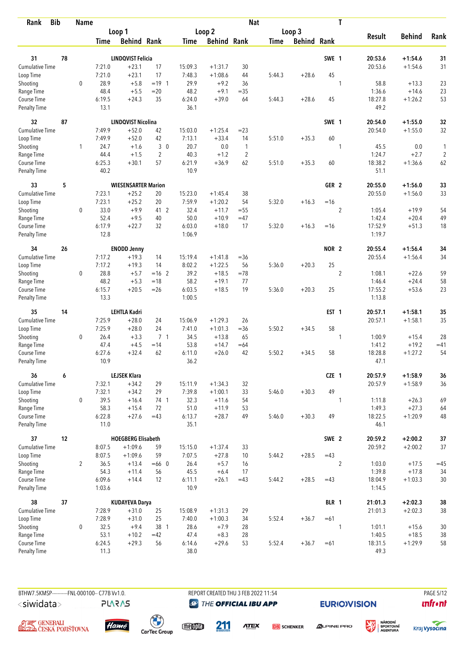| <b>Bib</b><br>Rank          |    | <b>Name</b>    |                |                            |                |                  |                    | <b>Nat</b>     |             |                    |                  | T              |                   |                    |                |
|-----------------------------|----|----------------|----------------|----------------------------|----------------|------------------|--------------------|----------------|-------------|--------------------|------------------|----------------|-------------------|--------------------|----------------|
|                             |    |                |                | Loop 1                     |                |                  | Loop 2             |                |             | Loop 3             |                  |                |                   |                    |                |
|                             |    |                | <b>Time</b>    | <b>Behind Rank</b>         |                | <b>Time</b>      | <b>Behind Rank</b> |                | <b>Time</b> | <b>Behind Rank</b> |                  |                | <b>Result</b>     | <b>Behind</b>      | Rank           |
| 31                          | 78 |                |                | <b>LINDQVIST Felicia</b>   |                |                  |                    |                |             |                    | SWE 1            |                | 20:53.6           | $+1:54.6$          | 31             |
| Cumulative Time             |    |                | 7:21.0         | $+23.1$                    | 17             | 15:09.3          | $+1:31.7$          | 30             |             |                    |                  |                | 20:53.6           | $+1:54.6$          | 31             |
| Loop Time                   |    |                | 7:21.0         | $+23.1$                    | 17             | 7:48.3           | $+1:08.6$          | 44             | 5:44.3      | $+28.6$            | 45               |                |                   |                    |                |
| Shooting                    |    | $\mathbf 0$    | 28.9           | $+5.8$                     | $= 19 \quad 1$ | 29.9             | $+9.2$             | 36             |             |                    |                  | 1              | 58.8              | $+13.3$            | 23             |
| Range Time                  |    |                | 48.4           | $+5.5$                     | $=20$          | 48.2             | $+9.1$             | $= 35$         |             |                    |                  |                | 1:36.6            | $+14.6$            | 23             |
| Course Time                 |    |                | 6:19.5         | $+24.3$                    | 35             | 6:24.0           | $+39.0$            | 64             | 5:44.3      | $+28.6$            | 45               |                | 18:27.8           | $+1:26.2$          | 53             |
| <b>Penalty Time</b>         |    |                | 13.1           |                            |                | 36.1             |                    |                |             |                    |                  |                | 49.2              |                    |                |
| 32                          | 87 |                |                | <b>LINDQVIST Nicolina</b>  |                |                  |                    |                |             |                    | SWE 1            |                | 20:54.0           | $+1:55.0$          | 32             |
| Cumulative Time             |    |                | 7:49.9         | $+52.0$                    | 42             | 15:03.0          | $+1:25.4$          | $= 23$         |             |                    |                  |                | 20:54.0           | $+1:55.0$          | 32             |
| Loop Time                   |    |                | 7:49.9         | $+52.0$                    | 42             | 7:13.1           | $+33.4$            | 14             | 5:51.0      | $+35.3$            | 60               |                |                   |                    |                |
| Shooting                    |    | 1              | 24.7           | $+1.6$                     | 30             | 20.7             | 0.0                | $\mathbf{1}$   |             |                    |                  | 1              | 45.5              | 0.0                | 1              |
| Range Time                  |    |                | 44.4           | $+1.5$                     | $\overline{2}$ | 40.3             | $+1.2$             | $\overline{2}$ |             |                    |                  |                | 1:24.7            | $+2.7$             | $\overline{2}$ |
| Course Time                 |    |                | 6:25.3         | $+30.1$                    | 57             | 6:21.9           | $+36.9$            | 62             | 5:51.0      | $+35.3$            | 60               |                | 18:38.2           | $+1:36.6$          | 62             |
| <b>Penalty Time</b>         |    |                | 40.2           |                            |                | 10.9             |                    |                |             |                    |                  |                | 51.1              |                    |                |
| 33                          | 5  |                |                | <b>WIESENSARTER Marion</b> |                |                  |                    |                |             |                    | GER <sub>2</sub> |                | 20:55.0           | $+1:56.0$          | 33             |
| Cumulative Time             |    |                | 7:23.1         | $+25.2$                    | 20             | 15:23.0          | $+1:45.4$          | 38             |             |                    |                  |                | 20:55.0           | $+1:56.0$          | 33             |
| Loop Time                   |    |                | 7:23.1         | $+25.2$                    | 20             | 7:59.9           | $+1:20.2$          | 54             | 5:32.0      | $+16.3$            | $=16$            |                |                   |                    |                |
| Shooting                    |    | $\mathbf 0$    | 33.0           | $+9.9$                     | 41 2           | 32.4             | $+11.7$            | $= 55$         |             |                    |                  | $\overline{c}$ | 1:05.4            | $+19.9$            | 54             |
| Range Time<br>Course Time   |    |                | 52.4           | $+9.5$<br>$+22.7$          | 40<br>32       | 50.0             | $+10.9$<br>$+18.0$ | $=47$          | 5:32.0      |                    |                  |                | 1:42.4            | $+20.4$<br>$+51.3$ | 49             |
| <b>Penalty Time</b>         |    |                | 6:17.9<br>12.8 |                            |                | 6:03.0<br>1:06.9 |                    | 17             |             | $+16.3$            | $=16$            |                | 17:52.9<br>1:19.7 |                    | 18             |
| 34                          | 26 |                |                | <b>ENODD Jenny</b>         |                |                  |                    |                |             |                    | NOR <sub>2</sub> |                | 20:55.4           | $+1:56.4$          | 34             |
| Cumulative Time             |    |                | 7:17.2         | $+19.3$                    | 14             | 15:19.4          | $+1:41.8$          | $= 36$         |             |                    |                  |                | 20:55.4           | $+1:56.4$          | 34             |
| Loop Time                   |    |                | 7:17.2         | $+19.3$                    | 14             | 8:02.2           | $+1:22.5$          | 56             | 5:36.0      | $+20.3$            | 25               |                |                   |                    |                |
| Shooting                    |    | 0              | 28.8           | $+5.7$                     | $=16$ 2        | 39.2             | $+18.5$            | $=78$          |             |                    |                  | $\overline{2}$ | 1:08.1            | $+22.6$            | 59             |
| Range Time                  |    |                | 48.2           | $+5.3$                     | $=18$          | 58.2             | $+19.1$            | 77             |             |                    |                  |                | 1:46.4            | $+24.4$            | 58             |
| Course Time                 |    |                | 6:15.7         | $+20.5$                    | $=26$          | 6:03.5           | $+18.5$            | 19             | 5:36.0      | $+20.3$            | 25               |                | 17:55.2           | $+53.6$            | 23             |
| <b>Penalty Time</b>         |    |                | 13.3           |                            |                | 1:00.5           |                    |                |             |                    |                  |                | 1:13.8            |                    |                |
| 35                          | 14 |                |                | <b>LEHTLA Kadri</b>        |                |                  |                    |                |             |                    | EST <sub>1</sub> |                | 20:57.1           | $+1:58.1$          | 35             |
| <b>Cumulative Time</b>      |    |                | 7:25.9         | $+28.0$                    | 24             | 15:06.9          | $+1:29.3$          | 26             |             |                    |                  |                | 20:57.1           | $+1:58.1$          | 35             |
| Loop Time                   |    |                | 7:25.9         | $+28.0$                    | 24             | 7:41.0           | $+1:01.3$          | $= 36$         | 5:50.2      | $+34.5$            | 58               |                |                   |                    |                |
| Shooting                    |    | 0              | 26.4           | $+3.3$                     | 7 <sub>1</sub> | 34.5             | $+13.8$            | 65             |             |                    |                  | 1              | 1:00.9            | $+15.4$            | 28             |
| Range Time                  |    |                | 47.4           | $+4.5$                     | $=14$          | 53.8             | $+14.7$            | $=64$          |             |                    |                  |                | 1:41.2            | $+19.2$            | $=41$          |
| Course Time                 |    |                | 6:27.6<br>10.9 | $+32.4$                    | 62             | 6:11.0<br>36.2   | $+26.0$            | 42             | 5:50.2      | $+34.5$            | 58               |                | 18:28.8<br>47.1   | $+1:27.2$          | 54             |
| <b>Penalty Time</b>         |    |                |                |                            |                |                  |                    |                |             |                    |                  |                |                   |                    |                |
| 36                          | 6  |                |                | <b>LEJSEK Klara</b>        |                |                  |                    |                |             |                    | CZE 1            |                | 20:57.9           | $+1:58.9$          | 36             |
| <b>Cumulative Time</b>      |    |                | 7:32.1         | $+34.2$                    | 29             | 15:11.9          | $+1:34.3$          | 32             |             |                    |                  |                | 20:57.9           | $+1:58.9$          | 36             |
| Loop Time                   |    |                | 7:32.1         | $+34.2$                    | 29             | 7:39.8           | $+1:00.1$          | 33             | 5:46.0      | $+30.3$            | 49               |                |                   |                    |                |
| Shooting                    |    | 0              | 39.5           | $+16.4$                    | 74 1           | 32.3             | $+11.6$            | 54             |             |                    |                  | 1              | 1:11.8            | $+26.3$            | 69             |
| Range Time                  |    |                | 58.3           | $+15.4$                    | 72             | 51.0             | $+11.9$            | 53             |             |                    |                  |                | 1:49.3            | $+27.3$            | 64             |
| Course Time<br>Penalty Time |    |                | 6:22.8<br>11.0 | $+27.6$                    | $=43$          | 6:13.7<br>35.1   | $+28.7$            | 49             | 5:46.0      | $+30.3$            | 49               |                | 18:22.5<br>46.1   | $+1:20.9$          | 48             |
| 37                          | 12 |                |                | <b>HOEGBERG Elisabeth</b>  |                |                  |                    |                |             |                    | SWE 2            |                | 20:59.2           | $+2:00.2$          | $37\,$         |
| Cumulative Time             |    |                | 8:07.5         | $+1:09.6$                  | 59             | 15:15.0          | $+1:37.4$          | 33             |             |                    |                  |                | 20:59.2           | $+2:00.2$          | 37             |
| Loop Time                   |    |                | 8:07.5         | $+1:09.6$                  | 59             | 7:07.5           | $+27.8$            | 10             | 5:44.2      | $+28.5$            | $=43$            |                |                   |                    |                |
| Shooting                    |    | $\overline{2}$ | 36.5           | $+13.4$                    | $=660$         | 26.4             | $+5.7$             | 16             |             |                    |                  | $\overline{2}$ | 1:03.0            | $+17.5$            | $=45$          |
| Range Time                  |    |                | 54.3           | $+11.4$                    | 56             | 45.5             | $+6.4$             | 17             |             |                    |                  |                | 1:39.8            | $+17.8$            | 34             |
| Course Time                 |    |                | 6:09.6         | $+14.4$                    | 12             | 6:11.1           | $+26.1$            | $=43$          | 5:44.2      | $+28.5$            | $=43$            |                | 18:04.9           | $+1:03.3$          | $30\,$         |
| Penalty Time                |    |                | 1:03.6         |                            |                | 10.9             |                    |                |             |                    |                  |                | 1:14.5            |                    |                |
| 38                          | 37 |                |                | <b>KUDAYEVA Darya</b>      |                |                  |                    |                |             |                    | BLR 1            |                | 21:01.3           | $+2:02.3$          | 38             |
| <b>Cumulative Time</b>      |    |                | 7:28.9         | $+31.0$                    | 25             | 15:08.9          | $+1:31.3$          | 29             |             |                    |                  |                | 21:01.3           | $+2:02.3$          | $38\,$         |
| Loop Time                   |    |                | 7:28.9         | $+31.0$                    | 25             | 7:40.0           | $+1:00.3$          | 34             | 5:52.4      | $+36.7$            | $=61$            |                |                   |                    |                |
| Shooting                    |    | 0              | 32.5           | $+9.4$                     | 38 1           | 28.6             | $+7.9$             | 28             |             |                    |                  | 1              | 1:01.1            | $+15.6$            | 30             |
| Range Time                  |    |                | 53.1           | $+10.2$                    | $=42$          | 47.4             | $+8.3$             | 28             |             |                    |                  |                | 1:40.5            | $+18.5$            | 38             |
| Course Time                 |    |                | 6:24.5         | $+29.3$                    | 56             | 6:14.6           | $+29.6$            | 53             | 5:52.4      | $+36.7$            | $=61$            |                | 18:31.5           | $+1:29.9$          | 58             |
| Penalty Time                |    |                | 11.3           |                            |                | 38.0             |                    |                |             |                    |                  |                | 49.3              |                    |                |

A <del>și C</del>enerali<br>**Ceská polišťovna** 

**PLARAS** 

BTHW7.5KMSP----------FNL-000100-- C77B Vv1.0. REPORT CREATED THU 3 FEB 2022 11:54 PAGE 5/12 **@ THE OFFICIAL IBU APP** 

211

**EURIO)VISION** 

**unfront** 



meona

**ATEX** 



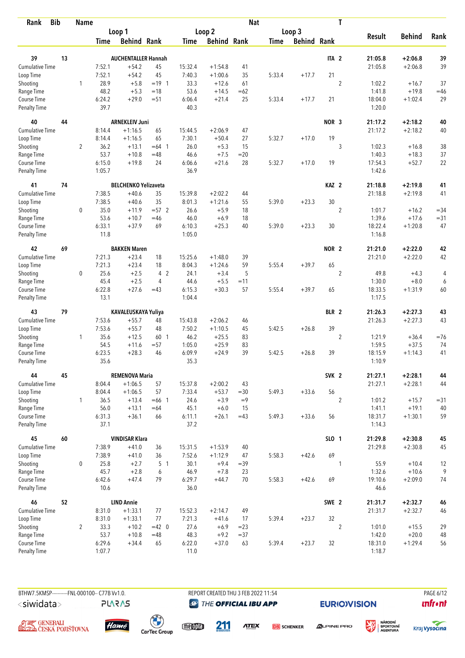| <b>Bib</b><br>Rank                 |    | <b>Name</b>    |                |                             |                |                  |                    | <b>Nat</b> |             |                    |                  | T              |                   |               |        |
|------------------------------------|----|----------------|----------------|-----------------------------|----------------|------------------|--------------------|------------|-------------|--------------------|------------------|----------------|-------------------|---------------|--------|
|                                    |    |                |                | Loop 1                      |                |                  | Loop 2             |            |             | Loop 3             |                  |                |                   |               |        |
|                                    |    |                | <b>Time</b>    | <b>Behind Rank</b>          |                | Time             | <b>Behind Rank</b> |            | <b>Time</b> | <b>Behind Rank</b> |                  |                | <b>Result</b>     | <b>Behind</b> | Rank   |
| 39                                 | 13 |                |                | <b>AUCHENTALLER Hannah</b>  |                |                  |                    |            |             |                    | ITA <sub>2</sub> |                | 21:05.8           | $+2:06.8$     | 39     |
| Cumulative Time                    |    |                | 7:52.1         | $+54.2$                     | 45             | 15:32.4          | $+1:54.8$          | 41         |             |                    |                  |                | 21:05.8           | $+2:06.8$     | 39     |
| Loop Time                          |    |                | 7:52.1         | $+54.2$                     | 45             | 7:40.3           | $+1:00.6$          | 35         | 5:33.4      | $+17.7$            | 21               |                |                   |               |        |
| Shooting                           |    | 1              | 28.9           | $+5.8$                      | $= 19 \quad 1$ | 33.3             | $+12.6$            | 61         |             |                    |                  | $\overline{2}$ | 1:02.2            | $+16.7$       | 37     |
| Range Time                         |    |                | 48.2           | $+5.3$                      | $=18$          | 53.6             | $+14.5$            | $=62$      |             |                    |                  |                | 1:41.8            | $+19.8$       | $=46$  |
| Course Time                        |    |                | 6:24.2         | $+29.0$                     | $= 51$         | 6:06.4           | $+21.4$            | 25         | 5:33.4      | $+17.7$            | 21               |                | 18:04.0           | $+1:02.4$     | 29     |
| <b>Penalty Time</b>                |    |                | 39.7           |                             |                | 40.3             |                    |            |             |                    |                  |                | 1:20.0            |               |        |
| 40                                 | 44 |                |                | <b>ARNEKLEIV Juni</b>       |                |                  |                    |            |             |                    | NOR <sub>3</sub> |                | 21:17.2           | $+2:18.2$     | 40     |
| Cumulative Time                    |    |                | 8:14.4         | $+1:16.5$                   | 65             | 15:44.5          | $+2:06.9$          | 47         |             |                    |                  |                | 21:17.2           | $+2:18.2$     | 40     |
| Loop Time                          |    |                | 8:14.4         | $+1:16.5$                   | 65             | 7:30.1           | $+50.4$            | 27         | 5:32.7      | $+17.0$            | 19               |                |                   |               |        |
| Shooting                           |    | $\overline{2}$ | 36.2           | $+13.1$                     | $=64$ 1        | 26.0             | $+5.3$             | 15         |             |                    |                  | 3              | 1:02.3            | $+16.8$       | 38     |
| Range Time                         |    |                | 53.7           | $+10.8$                     | $=48$          | 46.6             | $+7.5$             | $=20$      |             |                    |                  |                | 1:40.3            | $+18.3$       | 37     |
| Course Time                        |    |                | 6:15.0         | $+19.8$                     | 24             | 6:06.6           | $+21.6$            | 28         | 5:32.7      | $+17.0$            | 19               |                | 17:54.3           | $+52.7$       | 22     |
| <b>Penalty Time</b>                |    |                | 1:05.7         |                             |                | 36.9             |                    |            |             |                    |                  |                | 1:42.6            |               |        |
| 41                                 | 74 |                |                | <b>BELCHENKO Yelizaveta</b> |                |                  |                    |            |             |                    | KAZ <sub>2</sub> |                | 21:18.8           | $+2:19.8$     | 41     |
| Cumulative Time                    |    |                | 7:38.5         | $+40.6$                     | 35             | 15:39.8          | $+2:02.2$          | 44         |             |                    |                  |                | 21:18.8           | $+2:19.8$     | 41     |
| Loop Time                          |    |                | 7:38.5         | $+40.6$                     | 35             | 8:01.3           | $+1:21.6$          | 55         | 5:39.0      | $+23.3$            | 30               |                |                   |               |        |
| Shooting                           |    | $\mathbf 0$    | 35.0           | $+11.9$                     | $= 572$        | 26.6             | $+5.9$             | 18         |             |                    |                  | $\overline{c}$ | 1:01.7            | $+16.2$       | $= 34$ |
| Range Time                         |    |                | 53.6           | $+10.7$                     | $=46$          | 46.0             | $+6.9$             | 18         |             |                    |                  |                | 1:39.6            | $+17.6$       | $= 31$ |
| Course Time<br><b>Penalty Time</b> |    |                | 6:33.1<br>11.8 | $+37.9$                     | 69             | 6:10.3<br>1:05.0 | $+25.3$            | 40         | 5:39.0      | $+23.3$            | 30               |                | 18:22.4<br>1:16.8 | $+1:20.8$     | 47     |
| 42                                 | 69 |                |                | <b>BAKKEN Maren</b>         |                |                  |                    |            |             |                    | NOR <sub>2</sub> |                | 21:21.0           | $+2:22.0$     | 42     |
| Cumulative Time                    |    |                | 7:21.3         | $+23.4$                     | 18             | 15:25.6          | $+1:48.0$          | 39         |             |                    |                  |                | 21:21.0           | $+2:22.0$     | 42     |
| Loop Time                          |    |                | 7:21.3         | $+23.4$                     | 18             | 8:04.3           | $+1:24.6$          | 59         | 5:55.4      | $+39.7$            | 65               |                |                   |               |        |
| Shooting                           |    | $\mathbf 0$    | 25.6           | $+2.5$                      | 4 2            | 24.1             | $+3.4$             | 5          |             |                    |                  | $\overline{2}$ | 49.8              | $+4.3$        | 4      |
| Range Time                         |    |                | 45.4           | $+2.5$                      | 4              | 44.6             | $+5.5$             | $=11$      |             |                    |                  |                | 1:30.0            | $+8.0$        | 6      |
| Course Time                        |    |                | 6:22.8         | $+27.6$                     | $=43$          | 6:15.3           | $+30.3$            | 57         | 5:55.4      | $+39.7$            | 65               |                | 18:33.5           | $+1:31.9$     | 60     |
| <b>Penalty Time</b>                |    |                | 13.1           |                             |                | 1:04.4           |                    |            |             |                    |                  |                | 1:17.5            |               |        |
| 43                                 | 79 |                |                | KAVALEUSKAYA Yuliya         |                |                  |                    |            |             |                    | BLR 2            |                | 21:26.3           | $+2:27.3$     | 43     |
| <b>Cumulative Time</b>             |    |                | 7:53.6         | $+55.7$                     | 48             | 15:43.8          | $+2:06.2$          | 46         |             |                    |                  |                | 21:26.3           | $+2:27.3$     | 43     |
| Loop Time                          |    |                | 7:53.6         | $+55.7$                     | 48             | 7:50.2           | $+1:10.5$          | 45         | 5:42.5      | $+26.8$            | 39               |                |                   |               |        |
| Shooting                           |    | $\mathbf{1}$   | 35.6           | $+12.5$                     | 60 1           | 46.2             | $+25.5$            | 83         |             |                    |                  | $\overline{2}$ | 1:21.9            | $+36.4$       | $=76$  |
| Range Time                         |    |                | 54.5           | $+11.6$                     | $= 57$         | 1:05.0           | $+25.9$            | 83         |             |                    |                  |                | 1:59.5            | $+37.5$       | 74     |
| Course Time                        |    |                | 6:23.5         | $+28.3$                     | 46             | 6:09.9           | $+24.9$            | 39         | 5:42.5      | $+26.8$            | 39               |                | 18:15.9           | $+1:14.3$     | 41     |
| <b>Penalty Time</b>                |    |                | 35.6           |                             |                | 35.3             |                    |            |             |                    |                  |                | 1:10.9            |               |        |
| 44                                 | 45 |                |                | <b>REMENOVA Maria</b>       |                |                  |                    |            |             |                    | SVK <sub>2</sub> |                | 21:27.1           | $+2:28.1$     | 44     |
| <b>Cumulative Time</b>             |    |                | 8:04.4         | $+1:06.5$                   | 57             | 15:37.8          | $+2:00.2$          | 43         |             |                    |                  |                | 21:27.1           | $+2:28.1$     | 44     |
| Loop Time                          |    |                | 8:04.4         | $+1:06.5$                   | 57             | 7:33.4           | $+53.7$            | $=30$      | 5:49.3      | $+33.6$            | 56               |                |                   |               |        |
| Shooting                           |    | $\mathbf{1}$   | 36.5           | $+13.4$                     | $=66$ 1        | 24.6             | $+3.9$             | $=9$       |             |                    |                  | $\overline{2}$ | 1:01.2            | $+15.7$       | $= 31$ |
| Range Time                         |    |                | 56.0           | $+13.1$                     | $=64$          | 45.1             | $+6.0$             | 15         |             |                    |                  |                | 1:41.1            | $+19.1$       | 40     |
| Course Time<br>Penalty Time        |    |                | 6:31.3<br>37.1 | $+36.1$                     | 66             | 6:11.1<br>37.2   | $+26.1$            | $=43$      | 5:49.3      | $+33.6$            | 56               |                | 18:31.7<br>1:14.3 | $+1:30.1$     | 59     |
| 45                                 | 60 |                |                | <b>VINDISAR Klara</b>       |                |                  |                    |            |             |                    | SLO 1            |                | 21:29.8           | $+2:30.8$     | 45     |
| <b>Cumulative Time</b>             |    |                | 7:38.9         | $+41.0$                     | 36             | 15:31.5          | $+1:53.9$          | 40         |             |                    |                  |                | 21:29.8           | $+2:30.8$     | 45     |
| Loop Time                          |    |                | 7:38.9         | $+41.0$                     | 36             | 7:52.6           | $+1:12.9$          | 47         | 5:58.3      | $+42.6$            | 69               |                |                   |               |        |
| Shooting                           |    | 0              | 25.8           | $+2.7$                      | 5 <sub>1</sub> | 30.1             | $+9.4$             | $=39$      |             |                    |                  | 1              | 55.9              | $+10.4$       | 12     |
| Range Time                         |    |                | 45.7           | $+2.8$                      | 6              | 46.9             | $+7.8$             | 23         |             |                    |                  |                | 1:32.6            | $+10.6$       | 9      |
| Course Time                        |    |                | 6:42.6         | $+47.4$                     | 79             | 6:29.7           | $+44.7$            | 70         | 5:58.3      | $+42.6$            | 69               |                | 19:10.6           | $+2:09.0$     | 74     |
| Penalty Time                       |    |                | 10.6           |                             |                | 36.0             |                    |            |             |                    |                  |                | 46.6              |               |        |
| 46                                 | 52 |                |                | <b>LIND Annie</b>           |                |                  |                    |            |             |                    | SWE 2            |                | 21:31.7           | $+2:32.7$     | 46     |
| <b>Cumulative Time</b>             |    |                | 8:31.0         | $+1:33.1$                   | 77             | 15:52.3          | $+2:14.7$          | 49         |             |                    |                  |                | 21:31.7           | $+2:32.7$     | 46     |
| Loop Time                          |    |                | 8:31.0         | $+1:33.1$                   | 77             | 7:21.3           | $+41.6$            | 17         | 5:39.4      | $+23.7$            | 32               |                |                   |               |        |
| Shooting                           |    | $\overline{2}$ | 33.3           | $+10.2$                     | $=42$ 0        | 27.6             | $+6.9$             | $= 23$     |             |                    |                  | $\overline{2}$ | 1:01.0            | $+15.5$       | 29     |
| Range Time                         |    |                | 53.7           | $+10.8$                     | $=48$          | 48.3             | $+9.2$             | $= 37$     |             |                    |                  |                | 1:42.0            | $+20.0$       | 48     |
| Course Time                        |    |                | 6:29.6         | $+34.4$                     | 65             | 6:22.0           | $+37.0$            | 63         | 5:39.4      | $+23.7$            | 32               |                | 18:31.0           | $+1:29.4$     | 56     |
| Penalty Time                       |    |                | 1:07.7         |                             |                | 11.0             |                    |            |             |                    |                  |                | 1:18.7            |               |        |



**PLARAS** 

BTHW7.5KMSP----------FNL-000100-- C77B Vv1.0. REPORT CREATED THU 3 FEB 2022 11:54 PAGE 6/12 **@ THE OFFICIAL IBU APP** 

**EURIO)VISION** 

 $\mathbf{u}$ front





 $\begin{pmatrix} 1 \\ 1 \end{pmatrix}$ <br>CarTec Group



**ATEX** 

**DB** SCHENKER **ALPINE PRO** 



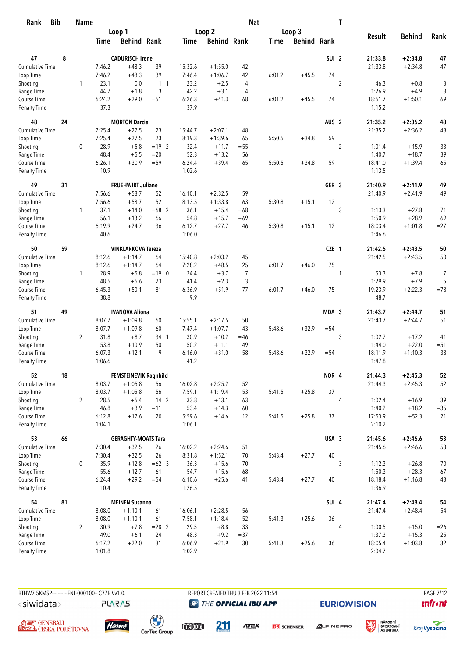| <b>Bib</b><br>Rank          |    | <b>Name</b>    |                  |                              |                |                   |                        | <b>Nat</b> |        |                    |                  | $\mathbf T$    |                   |                    |                |
|-----------------------------|----|----------------|------------------|------------------------------|----------------|-------------------|------------------------|------------|--------|--------------------|------------------|----------------|-------------------|--------------------|----------------|
|                             |    |                |                  | Loop 1                       |                |                   | Loop <sub>2</sub>      |            |        | Loop 3             |                  |                |                   |                    |                |
|                             |    |                | <b>Time</b>      | <b>Behind Rank</b>           |                | <b>Time</b>       | <b>Behind Rank</b>     |            | Time   | <b>Behind Rank</b> |                  |                | <b>Result</b>     | <b>Behind</b>      | Rank           |
| 47                          | 8  |                |                  | <b>CADURISCH Irene</b>       |                |                   |                        |            |        |                    | SUI <sub>2</sub> |                | 21:33.8           | $+2:34.8$          |                |
| <b>Cumulative Time</b>      |    |                | 7:46.2           | $+48.3$                      | 39             | 15:32.6           | $+1:55.0$              |            |        |                    |                  |                |                   |                    | 47<br>47       |
| Loop Time                   |    |                | 7:46.2           | $+48.3$                      | 39             | 7:46.4            | $+1:06.7$              | 42<br>42   | 6:01.2 | $+45.5$            | 74               |                | 21:33.8           | $+2:34.8$          |                |
| Shooting                    |    | 1              | 23.1             | 0.0                          | 1 <sub>1</sub> | 23.2              | $+2.5$                 | 4          |        |                    |                  | $\overline{2}$ | 46.3              | $+0.8$             | 3              |
| Range Time                  |    |                | 44.7             | $+1.8$                       | 3              | 42.2              | $+3.1$                 | 4          |        |                    |                  |                | 1:26.9            | $+4.9$             | $\sqrt{3}$     |
| Course Time                 |    |                | 6:24.2           | $+29.0$                      | $= 51$         | 6:26.3            | $+41.3$                | 68         | 6:01.2 | $+45.5$            | 74               |                | 18:51.7           | $+1:50.1$          | 69             |
| <b>Penalty Time</b>         |    |                | 37.3             |                              |                | 37.9              |                        |            |        |                    |                  |                | 1:15.2            |                    |                |
| 48                          | 24 |                |                  | <b>MORTON Darcie</b>         |                |                   |                        |            |        |                    | AUS <sub>2</sub> |                | 21:35.2           | $+2:36.2$          | 48             |
| <b>Cumulative Time</b>      |    |                | 7:25.4           | $+27.5$                      | 23             | 15:44.7           | $+2:07.1$              | 48         |        |                    |                  |                | 21:35.2           | $+2:36.2$          | 48             |
| Loop Time                   |    |                | 7:25.4           | $+27.5$                      | 23             | 8:19.3            | $+1:39.6$              | 65         | 5:50.5 | $+34.8$            | 59               |                |                   |                    |                |
| Shooting                    |    | 0              | 28.9             | $+5.8$                       | $= 19$ 2       | 32.4              | $+11.7$                | $=55$      |        |                    |                  | $\overline{c}$ | 1:01.4            | $+15.9$            | 33             |
| Range Time                  |    |                | 48.4             | $+5.5$                       | $=20$          | 52.3              | $+13.2$                | 56         |        |                    |                  |                | 1:40.7            | $+18.7$            | 39             |
| Course Time                 |    |                | 6:26.1           | $+30.9$                      | $= 59$         | 6:24.4            | $+39.4$                | 65         | 5:50.5 | $+34.8$            | 59               |                | 18:41.0           | $+1:39.4$          | 65             |
| <b>Penalty Time</b>         |    |                | 10.9             |                              |                | 1:02.6            |                        |            |        |                    |                  |                | 1:13.5            |                    |                |
| 49                          | 31 |                |                  | <b>FRUEHWIRT Juliane</b>     |                |                   |                        |            |        |                    | GER <sub>3</sub> |                | 21:40.9           | $+2:41.9$          | 49             |
| <b>Cumulative Time</b>      |    |                | 7:56.6           | $+58.7$                      | 52             | 16:10.1           | $+2:32.5$              | 59         |        |                    |                  |                | 21:40.9           | $+2:41.9$          | 49             |
| Loop Time                   |    |                | 7:56.6           | $+58.7$                      | 52             | 8:13.5            | $+1:33.8$              | 63         | 5:30.8 | $+15.1$            | 12               |                |                   |                    |                |
| Shooting                    |    | $\mathbf{1}$   | 37.1             | $+14.0$                      | $=68$ 2        | 36.1              | $+15.4$                | $=68$      |        |                    |                  | 3              | 1:13.3            | $+27.8$            | 71             |
| Range Time                  |    |                | 56.1             | $+13.2$                      | 66             | 54.8              | $+15.7$                | $=69$      |        |                    |                  |                | 1:50.9            | $+28.9$            | 69             |
| Course Time                 |    |                | 6:19.9           | $+24.7$                      | 36             | 6:12.7            | $+27.7$                | 46         | 5:30.8 | $+15.1$            | 12               |                | 18:03.4           | $+1:01.8$          | $= 27$         |
| <b>Penalty Time</b>         |    |                | 40.6             |                              |                | 1:06.0            |                        |            |        |                    |                  |                | 1:46.6            |                    |                |
| 50                          | 59 |                |                  | <b>VINKLARKOVA Tereza</b>    |                |                   |                        |            |        |                    | CZE 1            |                | 21:42.5           | $+2:43.5$          | 50             |
| Cumulative Time             |    |                | 8:12.6           | $+1:14.7$                    | 64             | 15:40.8           | $+2:03.2$              | 45         |        |                    |                  |                | 21:42.5           | $+2:43.5$          | 50             |
| Loop Time                   |    |                | 8:12.6           | $+1:14.7$                    | 64             | 7:28.2            | $+48.5$                | 25         | 6:01.7 | $+46.0$            | 75               |                |                   |                    |                |
| Shooting                    |    | $\mathbf{1}$   | 28.9             | $+5.8$                       | $=19$ 0        | 24.4              | $+3.7$                 | 7          |        |                    |                  | 1              | 53.3              | $+7.8$             | $\overline{7}$ |
| Range Time                  |    |                | 48.5             | $+5.6$                       | 23             | 41.4              | $+2.3$                 | 3          |        |                    |                  |                | 1:29.9            | $+7.9$             | 5              |
| Course Time                 |    |                | 6:45.3           | $+50.1$                      | 81             | 6:36.9            | $+51.9$                | 77         | 6:01.7 | $+46.0$            | 75               |                | 19:23.9           | $+2:22.3$          | $=78$          |
| <b>Penalty Time</b>         |    |                | 38.8             |                              |                | 9.9               |                        |            |        |                    |                  |                | 48.7              |                    |                |
| 51                          | 49 |                |                  | <b>IVANOVA Aliona</b>        |                |                   |                        |            |        |                    | MDA 3            |                | 21:43.7           | $+2:44.7$          | 51             |
| <b>Cumulative Time</b>      |    |                | 8:07.7           | $+1:09.8$                    | 60             | 15:55.1           | $+2:17.5$              | 50         |        |                    |                  |                | 21:43.7           | $+2:44.7$          | 51             |
| Loop Time                   |    |                | 8:07.7           | $+1:09.8$                    | 60             | 7:47.4            | $+1:07.7$              | 43         | 5:48.6 | $+32.9$            | $= 54$           |                |                   |                    |                |
| Shooting                    |    | $\overline{2}$ | 31.8             | $+8.7$                       | 34 1           | 30.9              | $+10.2$                | $=46$      |        |                    |                  | 3              | 1:02.7            | $+17.2$            | 41             |
| Range Time                  |    |                | 53.8             | $+10.9$                      | 50             | 50.2              | $+11.1$                | 49         |        |                    |                  |                | 1:44.0            | $+22.0$            | $= 51$         |
| Course Time                 |    |                | 6:07.3           | $+12.1$                      | 9              | 6:16.0            | $+31.0$                | 58         | 5:48.6 | $+32.9$            | $= 54$           |                | 18:11.9           | $+1:10.3$          | 38             |
| <b>Penalty Time</b>         |    |                | 1:06.6           |                              |                | 41.2              |                        |            |        |                    |                  |                | 1:47.8            |                    |                |
| 52                          | 18 |                |                  | <b>FEMSTEINEVIK Ragnhild</b> |                |                   |                        |            |        |                    | NOR 4            |                | 21:44.3           | $+2:45.3$          | 52             |
| Cumulative Time             |    |                | 8:03.7           | $+1:05.8$                    | 56             | 16:02.8           | $+2:25.2$              | 52         |        |                    |                  |                | 21:44.3           | $+2:45.3$          | 52             |
| Loop Time                   |    |                | 8:03.7           | $+1:05.8$                    | 56             | 7:59.1            | $+1:19.4$              | 53         | 5:41.5 | $+25.8$            | 37               |                |                   |                    |                |
| Shooting                    |    | $\overline{2}$ | 28.5             | $+5.4$                       | $142$          | 33.8              | $+13.1$                | 63         |        |                    |                  | 4              | 1:02.4            | $+16.9$            | 39             |
| Range Time                  |    |                | 46.8             | $+3.9$                       | $=11$          | 53.4              | $+14.3$                | 60         |        |                    |                  |                | 1:40.2            | $+18.2$            | $= 35$         |
| Course Time<br>Penalty Time |    |                | 6:12.8<br>1:04.1 | $+17.6$                      | 20             | 5:59.6<br>1:06.1  | $+14.6$                | 12         | 5:41.5 | $+25.8$            | 37               |                | 17:53.9<br>2:10.2 | $+52.3$            | 21             |
| 53                          | 66 |                |                  | <b>GERAGHTY-MOATS Tara</b>   |                |                   |                        |            |        |                    | USA 3            |                | 21:45.6           | $+2:46.6$          |                |
| Cumulative Time             |    |                |                  |                              |                |                   |                        | 51         |        |                    |                  |                |                   |                    | 53             |
| Loop Time                   |    |                | 7:30.4<br>7:30.4 | $+32.5$<br>$+32.5$           | 26<br>26       | 16:02.2<br>8:31.8 | $+2:24.6$<br>$+1:52.1$ | 70         | 5:43.4 | $+27.7$            | 40               |                | 21:45.6           | $+2:46.6$          | 53             |
|                             |    | $\mathbf 0$    | 35.9             | $+12.8$                      | $=62$ 3        |                   |                        | 70         |        |                    |                  |                |                   |                    |                |
| Shooting<br>Range Time      |    |                | 55.6             | $+12.7$                      | 61             | 36.3<br>54.7      | $+15.6$<br>$+15.6$     | 68         |        |                    |                  | 3              | 1:12.3<br>1:50.3  | $+26.8$<br>$+28.3$ | 70<br>67       |
| Course Time                 |    |                | 6:24.4           | $+29.2$                      | $= 54$         | 6:10.6            | $+25.6$                | 41         | 5:43.4 | $+27.7$            | 40               |                | 18:18.4           | $+1:16.8$          | 43             |
| Penalty Time                |    |                | 10.4             |                              |                | 1:26.5            |                        |            |        |                    |                  |                | 1:36.9            |                    |                |
| 54                          | 81 |                |                  | <b>MEINEN Susanna</b>        |                |                   |                        |            |        |                    | SUI 4            |                | 21:47.4           | $+2:48.4$          | 54             |
| Cumulative Time             |    |                | 8:08.0           | $+1:10.1$                    | 61             | 16:06.1           | $+2:28.5$              | 56         |        |                    |                  |                | 21:47.4           | $+2:48.4$          | 54             |
| Loop Time                   |    |                | 8:08.0           | $+1:10.1$                    | 61             | 7:58.1            | $+1:18.4$              | 52         | 5:41.3 | $+25.6$            | 36               |                |                   |                    |                |
| Shooting                    |    | 2              | 30.9             | $+7.8$                       | $= 28$ 2       | 29.5              | $+8.8$                 | 33         |        |                    |                  | $\overline{4}$ | 1:00.5            | $+15.0$            | $=26$          |
| Range Time                  |    |                | 49.0             | $+6.1$                       | 24             | 48.3              | $+9.2$                 | $=37$      |        |                    |                  |                | 1:37.3            | $+15.3$            | 25             |
| Course Time                 |    |                | 6:17.2           | $+22.0$                      | 31             | 6:06.9            | $+21.9$                | 30         | 5:41.3 | $+25.6$            | 36               |                | 18:05.4           | $+1:03.8$          | 32             |
| <b>Penalty Time</b>         |    |                | 1:01.8           |                              |                | 1:02.9            |                        |            |        |                    |                  |                | 2:04.7            |                    |                |

**PLARAS** 

BTHW7.5KMSP----------FNL-000100-- C77B Vv1.0. REPORT CREATED THU 3 FEB 2022 11:54 PAGE 7/12 **@ THE OFFICIAL IBU APP** 

**EURIO)VISION** 

溪

**unfront** 





meona 211

**ATEX DB** SCHENKER



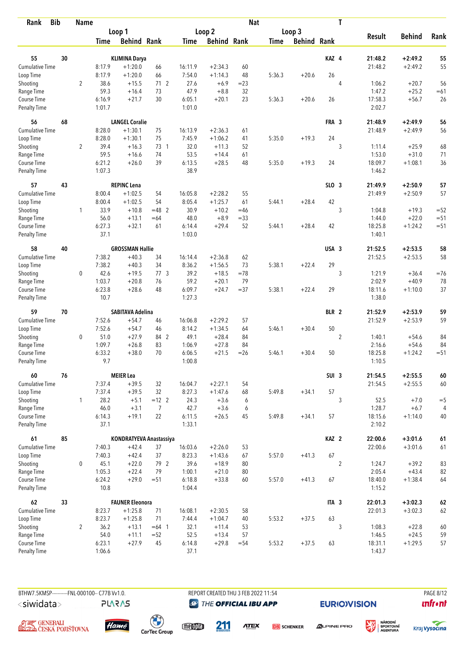| <b>Bib</b><br>Rank          |    | <b>Name</b>    |                |                         |                         |                  |                    | <b>Nat</b> |             |                    |                  | T              |                   |               |                |
|-----------------------------|----|----------------|----------------|-------------------------|-------------------------|------------------|--------------------|------------|-------------|--------------------|------------------|----------------|-------------------|---------------|----------------|
|                             |    |                |                | Loop 1                  |                         |                  | Loop <sub>2</sub>  |            |             | Loop 3             |                  |                |                   |               |                |
|                             |    |                | <b>Time</b>    | <b>Behind Rank</b>      |                         | Time             | <b>Behind Rank</b> |            | <b>Time</b> | <b>Behind Rank</b> |                  |                | <b>Result</b>     | <b>Behind</b> | Rank           |
| 55                          | 30 |                |                | <b>KLIMINA Darya</b>    |                         |                  |                    |            |             |                    | KAZ 4            |                | 21:48.2           | $+2:49.2$     | 55             |
| Cumulative Time             |    |                | 8:17.9         | $+1:20.0$               | 66                      | 16:11.9          | $+2:34.3$          | 60         |             |                    |                  |                | 21:48.2           | $+2:49.2$     | 55             |
|                             |    |                | 8:17.9         | $+1:20.0$               | 66                      | 7:54.0           | $+1:14.3$          | 48         | 5:36.3      | $+20.6$            | 26               |                |                   |               |                |
| Loop Time<br>Shooting       |    | $\overline{2}$ | 38.6           | $+15.5$                 | 712                     | 27.6             | $+6.9$             | $=23$      |             |                    |                  | 4              | 1:06.2            | $+20.7$       | 56             |
| Range Time                  |    |                | 59.3           | $+16.4$                 | 73                      | 47.9             | $+8.8$             | 32         |             |                    |                  |                | 1:47.2            | $+25.2$       | $=61$          |
| Course Time                 |    |                | 6:16.9         | $+21.7$                 | 30                      | 6:05.1           | $+20.1$            | 23         | 5:36.3      | $+20.6$            | 26               |                | 17:58.3           | $+56.7$       | 26             |
| <b>Penalty Time</b>         |    |                | 1:01.7         |                         |                         | 1:01.0           |                    |            |             |                    |                  |                | 2:02.7            |               |                |
| 56                          | 68 |                |                | <b>LANGEL Coralie</b>   |                         |                  |                    |            |             |                    | FRA 3            |                | 21:48.9           | $+2:49.9$     | 56             |
| <b>Cumulative Time</b>      |    |                | 8:28.0         | $+1:30.1$               | 75                      | 16:13.9          | $+2:36.3$          | 61         |             |                    |                  |                | 21:48.9           | $+2:49.9$     | 56             |
| Loop Time                   |    |                | 8:28.0         | $+1:30.1$               | 75                      | 7:45.9           | $+1:06.2$          | 41         | 5:35.0      | $+19.3$            | 24               |                |                   |               |                |
| Shooting                    |    | $\overline{2}$ | 39.4           | $+16.3$                 | 73 1                    | 32.0             | $+11.3$            | 52         |             |                    |                  | 3              | 1:11.4            | $+25.9$       | 68             |
| Range Time                  |    |                | 59.5           | $+16.6$                 | 74                      | 53.5             | $+14.4$            | 61         |             |                    |                  |                | 1:53.0            | $+31.0$       | 71             |
| Course Time                 |    |                | 6:21.2         | $+26.0$                 | 39                      | 6:13.5           | $+28.5$            | 48         | 5:35.0      | $+19.3$            | 24               |                | 18:09.7           | $+1:08.1$     | 36             |
| <b>Penalty Time</b>         |    |                | 1:07.3         |                         |                         | 38.9             |                    |            |             |                    |                  |                | 1:46.2            |               |                |
| 57                          | 43 |                |                | <b>REPINC Lena</b>      |                         |                  |                    |            |             |                    | $SLO$ 3          |                | 21:49.9           | $+2:50.9$     | 57             |
| Cumulative Time             |    |                | 8:00.4         | $+1:02.5$               | 54                      | 16:05.8          | $+2:28.2$          | 55         |             |                    |                  |                | 21:49.9           | $+2:50.9$     | 57             |
| Loop Time                   |    |                | 8:00.4         | $+1:02.5$               | 54                      | 8:05.4           | $+1:25.7$          | 61         | 5:44.1      | $+28.4$            | 42               |                |                   |               |                |
| Shooting                    |    | $\mathbf{1}$   | 33.9           | $+10.8$                 | $=48$ 2                 | 30.9             | $+10.2$            | $=46$      |             |                    |                  | 3              | 1:04.8            | $+19.3$       | $=52$          |
| Range Time                  |    |                | 56.0           | $+13.1$                 | $=64$                   | 48.0             | $+8.9$             | $= 33$     |             |                    |                  |                | 1:44.0            | $+22.0$       | $= 51$         |
| Course Time                 |    |                | 6:27.3         | $+32.1$                 | 61                      | 6:14.4           | $+29.4$            | 52         | 5:44.1      | $+28.4$            | 42               |                | 18:25.8           | $+1:24.2$     | $=51$          |
| <b>Penalty Time</b>         |    |                | 37.1           |                         |                         | 1:03.0           |                    |            |             |                    |                  |                | 1:40.1            |               |                |
| 58                          | 40 |                |                | <b>GROSSMAN Hallie</b>  |                         |                  |                    |            |             |                    | USA 3            |                | 21:52.5           | $+2:53.5$     | 58             |
| Cumulative Time             |    |                | 7:38.2         | $+40.3$                 | 34                      | 16:14.4          | $+2:36.8$          | 62         |             |                    |                  |                | 21:52.5           | $+2:53.5$     | 58             |
| Loop Time                   |    |                | 7:38.2         | $+40.3$                 | 34                      | 8:36.2           | $+1:56.5$          | 73         | 5:38.1      | $+22.4$            | 29               |                |                   |               |                |
| Shooting                    |    | 0              | 42.6           | $+19.5$                 | 77.3                    | 39.2             | $+18.5$            | $=78$      |             |                    |                  | 3              | 1:21.9            | $+36.4$       | $= 76$         |
| Range Time                  |    |                | 1:03.7         | $+20.8$                 | 76                      | 59.2             | $+20.1$            | 79         |             |                    |                  |                | 2:02.9            | $+40.9$       | 78             |
| Course Time                 |    |                | 6:23.8         | $+28.6$                 | 48                      | 6:09.7           | $+24.7$            | $= 37$     | 5:38.1      | $+22.4$            | 29               |                | 18:11.6           | $+1:10.0$     | 37             |
| <b>Penalty Time</b>         |    |                | 10.7           |                         |                         | 1:27.3           |                    |            |             |                    |                  |                | 1:38.0            |               |                |
| 59                          | 70 |                |                | <b>SABITAVA Adelina</b> |                         |                  |                    |            |             |                    | BLR 2            |                | 21:52.9           | $+2:53.9$     | 59             |
| <b>Cumulative Time</b>      |    |                | 7:52.6         | $+54.7$                 | 46                      | 16:06.8          | $+2:29.2$          | 57         |             |                    |                  |                | 21:52.9           | $+2:53.9$     | 59             |
| Loop Time                   |    |                | 7:52.6         | $+54.7$                 | 46                      | 8:14.2           | $+1:34.5$          | 64         | 5:46.1      | $+30.4$            | 50               |                |                   |               |                |
| Shooting                    |    | 0              | 51.0           | $+27.9$                 | 84 2                    | 49.1             | $+28.4$            | 84         |             |                    |                  | $\overline{2}$ | 1:40.1            | $+54.6$       | 84             |
| Range Time                  |    |                | 1:09.7         | $+26.8$                 | 83                      | 1:06.9           | $+27.8$            | 84         |             |                    |                  |                | 2:16.6            | $+54.6$       | 84             |
| Course Time                 |    |                | 6:33.2         | $+38.0$                 | 70                      | 6:06.5           | $+21.5$            | $=26$      | 5:46.1      | $+30.4$            | 50               |                | 18:25.8           | $+1:24.2$     | $=51$          |
| <b>Penalty Time</b>         |    |                | 9.7            |                         |                         | 1:00.8           |                    |            |             |                    |                  |                | 1:10.5            |               |                |
| 60                          | 76 |                |                | <b>MEIER Lea</b>        |                         |                  |                    |            |             |                    | SUI <sub>3</sub> |                | 21:54.5           | $+2:55.5$     | 60             |
| <b>Cumulative Time</b>      |    |                | 7:37.4         | $+39.5$                 | 32                      | 16:04.7          | $+2:27.1$          | 54         |             |                    |                  |                | 21:54.5           | $+2:55.5$     | 60             |
| Loop Time                   |    |                | 7:37.4         | $+39.5$                 | 32                      | 8:27.3           | $+1:47.6$          | 68         | 5:49.8      | $+34.1$            | 57               |                |                   |               |                |
| Shooting                    |    | $\mathbf{1}$   | 28.2           | $+5.1$                  | $=12$ 2                 | 24.3             | $+3.6$             | 6          |             |                    |                  | 3              | 52.5              | $+7.0$        | $=$ 5          |
| Range Time                  |    |                | 46.0           | $+3.1$                  | $\overline{7}$          | 42.7             | $+3.6$             | 6          |             |                    |                  |                | 1:28.7            | $+6.7$        | $\overline{4}$ |
| Course Time<br>Penalty Time |    |                | 6:14.3<br>37.1 | $+19.1$                 | 22                      | 6:11.5<br>1:33.1 | $+26.5$            | 45         | 5:49.8      | $+34.1$            | 57               |                | 18:15.6<br>2:10.2 | $+1:14.0$     | 40             |
| 61                          | 85 |                |                |                         | KONDRATYEVA Anastassiya |                  |                    |            |             |                    | KAZ <sub>2</sub> |                | 22:00.6           | $+3:01.6$     | $61\,$         |
| Cumulative Time             |    |                | 7:40.3         | $+42.4$                 | 37                      | 16:03.6          | $+2:26.0$          | 53         |             |                    |                  |                | 22:00.6           | $+3:01.6$     | 61             |
| Loop Time                   |    |                | 7:40.3         | $+42.4$                 | 37                      | 8:23.3           | $+1:43.6$          | 67         | 5:57.0      | $+41.3$            | 67               |                |                   |               |                |
| Shooting                    |    | 0              | 45.1           | $+22.0$                 | 79 2                    | 39.6             | $+18.9$            | 80         |             |                    |                  | $\overline{2}$ | 1:24.7            | $+39.2$       | 83             |
| Range Time                  |    |                | 1:05.3         | $+22.4$                 | 79                      | 1:00.1           | $+21.0$            | 80         |             |                    |                  |                | 2:05.4            | $+43.4$       | 82             |
| Course Time                 |    |                | 6:24.2         | $+29.0$                 | $= 51$                  | 6:18.8           | $+33.8$            | 60         | 5:57.0      | $+41.3$            | 67               |                | 18:40.0           | $+1:38.4$     | 64             |
| Penalty Time                |    |                | 10.8           |                         |                         | 1:04.4           |                    |            |             |                    |                  |                | 1:15.2            |               |                |
| 62                          | 33 |                |                | <b>FAUNER Eleonora</b>  |                         |                  |                    |            |             |                    | ITA 3            |                | 22:01.3           | $+3:02.3$     | 62             |
| <b>Cumulative Time</b>      |    |                | 8:23.7         | $+1:25.8$               | 71                      | 16:08.1          | $+2:30.5$          | 58         |             |                    |                  |                | 22:01.3           | $+3:02.3$     | 62             |
| Loop Time                   |    |                | 8:23.7         | $+1:25.8$               | 71                      | 7:44.4           | $+1:04.7$          | 40         | 5:53.2      | $+37.5$            | 63               |                |                   |               |                |
| Shooting                    |    | $\overline{2}$ | 36.2           | $+13.1$                 | $=64$ 1                 | 32.1             | $+11.4$            | 53         |             |                    |                  | 3              | 1:08.3            | $+22.8$       | 60             |
| Range Time                  |    |                | 54.0           | $+11.1$                 | $= 52$                  | 52.5             | $+13.4$            | 57         |             |                    |                  |                | 1:46.5            | $+24.5$       | 59             |
| Course Time                 |    |                | 6:23.1         | $+27.9$                 | 45                      | 6:14.8           | $+29.8$            | $= 54$     | 5:53.2      | $+37.5$            | 63               |                | 18:31.1           | $+1:29.5$     | 57             |
| Penalty Time                |    |                | 1:06.6         |                         |                         | 37.1             |                    |            |             |                    |                  |                | 1:43.7            |               |                |

**PLARAS** 

BTHW7.5KMSP----------FNL-000100-- C77B Vv1.0. REPORT CREATED THU 3 FEB 2022 11:54 PAGE 8/12 **@ THE OFFICIAL IBU APP** 

**EURIO)VISION** 

 $\mathbf{u}$ front





 $\begin{pmatrix} 1 \\ 1 \end{pmatrix}$ <br>CarTec Group

meona 211

**ATEX** 

**DB** SCHENKER **ALPINE PRO** 



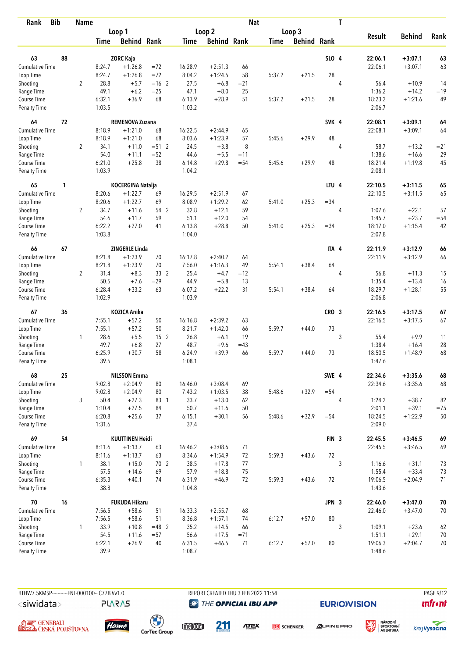| <b>Bib</b><br>Rank                 |    | <b>Name</b>    |                  |                        |                 |                  |                    | <b>Nat</b> |        |                    |                  | T              |                   |               |        |
|------------------------------------|----|----------------|------------------|------------------------|-----------------|------------------|--------------------|------------|--------|--------------------|------------------|----------------|-------------------|---------------|--------|
|                                    |    |                |                  | Loop 1                 |                 |                  | Loop <sub>2</sub>  |            |        | Loop 3             |                  |                |                   |               |        |
|                                    |    |                | Time             | <b>Behind Rank</b>     |                 | <b>Time</b>      | <b>Behind Rank</b> |            | Time   | <b>Behind Rank</b> |                  |                | <b>Result</b>     | <b>Behind</b> | Rank   |
| 63                                 | 88 |                |                  | <b>ZORC Kaja</b>       |                 |                  |                    |            |        |                    | SLO 4            |                | 22:06.1           | $+3:07.1$     | 63     |
| <b>Cumulative Time</b>             |    |                | 8:24.7           | $+1:26.8$              | $= 72$          | 16:28.9          | $+2:51.3$          | 66         |        |                    |                  |                | 22:06.1           | $+3:07.1$     | 63     |
| Loop Time                          |    |                | 8:24.7           | $+1:26.8$              | $=72$           | 8:04.2           | $+1:24.5$          | 58         | 5:37.2 | $+21.5$            | 28               |                |                   |               |        |
| Shooting                           |    | $\overline{2}$ | 28.8             | $+5.7$                 | $=16$ 2         | 27.5             | $+6.8$             | $= 21$     |        |                    |                  | $\overline{4}$ | 56.4              | $+10.9$       | 14     |
| Range Time                         |    |                | 49.1             | $+6.2$                 | $=25$           | 47.1             | $+8.0$             | 25         |        |                    |                  |                | 1:36.2            | $+14.2$       | $=19$  |
| Course Time                        |    |                | 6:32.1           | $+36.9$                | 68              | 6:13.9           | $+28.9$            | 51         | 5:37.2 | $+21.5$            | 28               |                | 18:23.2           | $+1:21.6$     | 49     |
| <b>Penalty Time</b>                |    |                | 1:03.5           |                        |                 | 1:03.2           |                    |            |        |                    |                  |                | 2:06.7            |               |        |
| 64                                 | 72 |                |                  | REMENOVA Zuzana        |                 |                  |                    |            |        |                    | SVK 4            |                | 22:08.1           | $+3:09.1$     | 64     |
| Cumulative Time                    |    |                | 8:18.9           | $+1:21.0$              | 68              | 16:22.5          | $+2:44.9$          | 65         |        |                    |                  |                | 22:08.1           | $+3:09.1$     | 64     |
| Loop Time                          |    |                | 8:18.9           | $+1:21.0$              | 68              | 8:03.6           | $+1:23.9$          | 57         | 5:45.6 | $+29.9$            | 48               |                |                   |               |        |
| Shooting                           |    | $\overline{2}$ | 34.1             | $+11.0$                | $= 512$         | 24.5             | $+3.8$             | 8          |        |                    |                  | 4              | 58.7              | $+13.2$       | $= 21$ |
| Range Time                         |    |                | 54.0             | $+11.1$                | $=52$           | 44.6             | $+5.5$             | $=11$      |        |                    |                  |                | 1:38.6            | $+16.6$       | 29     |
| Course Time                        |    |                | 6:21.0           | $+25.8$                | 38              | 6:14.8           | $+29.8$            | $= 54$     | 5:45.6 | $+29.9$            | 48               |                | 18:21.4           | $+1:19.8$     | 45     |
| <b>Penalty Time</b>                |    |                | 1:03.9           |                        |                 | 1:04.2           |                    |            |        |                    |                  |                | 2:08.1            |               |        |
| 65                                 | 1  |                |                  | KOCERGINA Natalja      |                 |                  |                    |            |        |                    | LTU <sub>4</sub> |                | 22:10.5           | $+3:11.5$     | 65     |
| Cumulative Time                    |    |                | 8:20.6           | $+1:22.7$              | 69              | 16:29.5          | $+2:51.9$          | 67         |        |                    |                  |                | 22:10.5           | $+3:11.5$     | 65     |
| Loop Time                          |    |                | 8:20.6           | $+1:22.7$              | 69              | 8:08.9           | $+1:29.2$          | 62         | 5:41.0 | $+25.3$            | $= 34$           |                |                   |               |        |
| Shooting                           |    | $\overline{2}$ | 34.7             | $+11.6$                | 54 2            | 32.8             | $+12.1$            | 59         |        |                    |                  | 4              | 1:07.6            | $+22.1$       | 57     |
| Range Time                         |    |                | 54.6<br>6:22.2   | $+11.7$                | 59              | 51.1             | $+12.0$            | 54<br>50   |        | $+25.3$            |                  |                | 1:45.7<br>18:17.0 | $+23.7$       | $= 54$ |
| Course Time<br><b>Penalty Time</b> |    |                | 1:03.8           | $+27.0$                | 41              | 6:13.8<br>1:04.0 | $+28.8$            |            | 5:41.0 |                    | $=34$            |                | 2:07.8            | $+1:15.4$     | 42     |
| 66                                 | 67 |                |                  | <b>ZINGERLE Linda</b>  |                 |                  |                    |            |        |                    | ITA 4            |                | 22:11.9           | $+3:12.9$     | 66     |
| Cumulative Time                    |    |                | 8:21.8           | $+1:23.9$              | 70              | 16:17.8          | $+2:40.2$          | 64         |        |                    |                  |                | 22:11.9           | $+3:12.9$     | 66     |
| Loop Time                          |    |                | 8:21.8           | $+1:23.9$              | 70              | 7:56.0           | $+1:16.3$          | 49         | 5:54.1 | $+38.4$            | 64               |                |                   |               |        |
| Shooting                           |    | $\overline{2}$ | 31.4             | $+8.3$                 | 33 2            | 25.4             | $+4.7$             | $=12$      |        |                    |                  | 4              | 56.8              | $+11.3$       | 15     |
| Range Time                         |    |                | 50.5             | $+7.6$                 | $=29$           | 44.9             | $+5.8$             | 13         |        |                    |                  |                | 1:35.4            | $+13.4$       | 16     |
| Course Time                        |    |                | 6:28.4           | $+33.2$                | 63              | 6:07.2           | $+22.2$            | 31         | 5:54.1 | $+38.4$            | 64               |                | 18:29.7           | $+1:28.1$     | 55     |
| <b>Penalty Time</b>                |    |                | 1:02.9           |                        |                 | 1:03.9           |                    |            |        |                    |                  |                | 2:06.8            |               |        |
| 67                                 | 36 |                |                  | <b>KOZICA Anika</b>    |                 |                  |                    |            |        |                    | CRO <sub>3</sub> |                | 22:16.5           | $+3:17.5$     | 67     |
| <b>Cumulative Time</b>             |    |                | 7:55.1           | $+57.2$                | 50              | 16:16.8          | $+2:39.2$          | 63         |        |                    |                  |                | 22:16.5           | $+3:17.5$     | 67     |
| Loop Time                          |    |                | 7:55.1           | $+57.2$                | 50              | 8:21.7           | $+1:42.0$          | 66         | 5:59.7 | $+44.0$            | 73               |                |                   |               |        |
| Shooting                           |    | 1              | 28.6             | $+5.5$                 | 15 <sub>2</sub> | 26.8             | $+6.1$             | 19         |        |                    |                  | 3              | 55.4              | $+9.9$        | 11     |
| Range Time                         |    |                | 49.7             | $+6.8$                 | 27              | 48.7             | $+9.6$             | $=43$      |        |                    |                  |                | 1:38.4            | $+16.4$       | 28     |
| Course Time                        |    |                | 6:25.9           | $+30.7$                | 58              | 6:24.9           | $+39.9$            | 66         | 5:59.7 | $+44.0$            | 73               |                | 18:50.5           | $+1:48.9$     | 68     |
| <b>Penalty Time</b>                |    |                | 39.5             |                        |                 | 1:08.1           |                    |            |        |                    |                  |                | 1:47.6            |               |        |
| 68                                 | 25 |                |                  | <b>NILSSON Emma</b>    |                 |                  |                    |            |        |                    | SWE 4            |                | 22:34.6           | $+3:35.6$     | 68     |
| Cumulative Time                    |    |                | 9:02.8           | $+2:04.9$              | 80              | 16:46.0          | $+3:08.4$          | 69         |        |                    |                  |                | 22:34.6           | $+3:35.6$     | 68     |
| Loop Time                          |    |                | 9:02.8           | $+2:04.9$              | 80              | 7:43.2           | $+1:03.5$          | 38         | 5:48.6 | $+32.9$            | $= 54$           |                |                   |               |        |
| Shooting                           |    | 3              | 50.4             | $+27.3$                | 83 1            | 33.7             | $+13.0$            | 62         |        |                    |                  | 4              | 1:24.2            | $+38.7$       | 82     |
| Range Time                         |    |                | 1:10.4           | $+27.5$                | 84              | 50.7             | $+11.6$            | 50         |        |                    |                  |                | 2:01.1            | $+39.1$       | $=75$  |
| Course Time<br>Penalty Time        |    |                | 6:20.8<br>1:31.6 | $+25.6$                | 37              | 6:15.1<br>37.4   | $+30.1$            | 56         | 5:48.6 | $+32.9$            | $= 54$           |                | 18:24.5<br>2:09.0 | $+1:22.9$     | 50     |
| 69                                 | 54 |                |                  | <b>KUUTTINEN Heidi</b> |                 |                  |                    |            |        |                    | FIN <sub>3</sub> |                | 22:45.5           | $+3:46.5$     | 69     |
| Cumulative Time                    |    |                | 8:11.6           | $+1:13.7$              | 63              | 16:46.2          | $+3:08.6$          | 71         |        |                    |                  |                | 22:45.5           | $+3:46.5$     | 69     |
| Loop Time                          |    |                | 8:11.6           | $+1:13.7$              | 63              | 8:34.6           | $+1:54.9$          | 72         | 5:59.3 | $+43.6$            | $72\,$           |                |                   |               |        |
| Shooting                           |    | $\mathbf{1}$   | 38.1             | $+15.0$                | 70 2            | 38.5             | $+17.8$            | 77         |        |                    |                  | 3              | 1:16.6            | $+31.1$       | 73     |
| Range Time                         |    |                | 57.5             | $+14.6$                | 69              | 57.9             | $+18.8$            | 75         |        |                    |                  |                | 1:55.4            | $+33.4$       | 73     |
| Course Time                        |    |                | 6:35.3           | $+40.1$                | 74              | 6:31.9           | $+46.9$            | 72         | 5:59.3 | $+43.6$            | 72               |                | 19:06.5           | $+2:04.9$     | 71     |
| Penalty Time                       |    |                | 38.8             |                        |                 | 1:04.8           |                    |            |        |                    |                  |                | 1:43.6            |               |        |
| 70                                 | 16 |                |                  | <b>FUKUDA Hikaru</b>   |                 |                  |                    |            |        |                    | JPN 3            |                | 22:46.0           | $+3:47.0$     | 70     |
| Cumulative Time                    |    |                | 7:56.5           | $+58.6$                | 51              | 16:33.3          | $+2:55.7$          | 68         |        |                    |                  |                | 22:46.0           | $+3:47.0$     | 70     |
| Loop Time                          |    |                | 7:56.5           | $+58.6$                | 51              | 8:36.8           | $+1:57.1$          | 74         | 6:12.7 | $+57.0$            | 80               |                |                   |               |        |
| Shooting                           |    | $\mathbf{1}$   | 33.9             | $+10.8$                | $=48$ 2         | 35.2             | $+14.5$            | 66         |        |                    |                  | 3              | 1:09.1            | $+23.6$       | 62     |
| Range Time                         |    |                | 54.5             | $+11.6$                | $= 57$          | 56.6             | $+17.5$            | $= 71$     |        |                    |                  |                | 1:51.1            | $+29.1$       | $70\,$ |
| Course Time                        |    |                | 6:22.1           | $+26.9$                | 40              | 6:31.5           | $+46.5$            | 71         | 6:12.7 | $+57.0$            | 80               |                | 19:06.3           | $+2:04.7$     | 70     |
| Penalty Time                       |    |                | 39.9             |                        |                 | 1:08.7           |                    |            |        |                    |                  |                | 1:48.6            |               |        |

BTHW7.5KMSP----------FNL-000100-- C77B Vv1.0. <siwidata>

**PLARAS** 

REPORT CREATED THU 3 FEB 2022 11:54 **@ THE OFFICIAL IBU APP** 

**EURIO)VISION** 

溪

**PAGE 9/12 unfront** 





 $\begin{pmatrix} 1 \\ 1 \end{pmatrix}$ <br>CarTec Group meona

211

**ATEX DB** SCHENKER



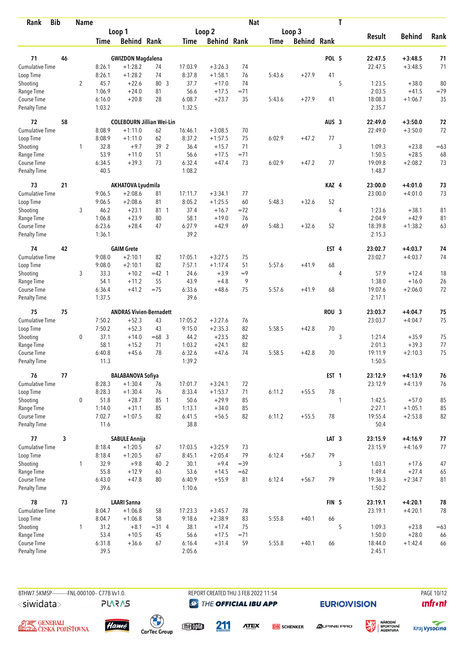| <b>Bib</b><br>Rank                 |    | <b>Name</b>    |                |                                  |         |                  |                    | <b>Nat</b> |             |                    |                  | T |                    |                        |                  |
|------------------------------------|----|----------------|----------------|----------------------------------|---------|------------------|--------------------|------------|-------------|--------------------|------------------|---|--------------------|------------------------|------------------|
|                                    |    |                |                | Loop 1                           |         |                  | Loop 2             |            |             | Loop 3             |                  |   |                    |                        |                  |
|                                    |    |                | Time           | <b>Behind Rank</b>               |         | Time             | <b>Behind Rank</b> |            | <b>Time</b> | <b>Behind Rank</b> |                  |   | <b>Result</b>      | <b>Behind</b>          | Rank             |
| 71                                 | 46 |                |                | <b>GWIZDON Magdalena</b>         |         |                  |                    |            |             |                    | POL 5            |   | 22:47.5            | $+3:48.5$              | 71               |
| <b>Cumulative Time</b>             |    |                | 8:26.1         | $+1:28.2$                        | 74      | 17:03.9          | $+3:26.3$          | 74         |             |                    |                  |   | 22:47.5            | $+3:48.5$              | 71               |
| Loop Time                          |    |                | 8:26.1         | $+1:28.2$                        | 74      | 8:37.8           | $+1:58.1$          | 76         | 5:43.6      | $+27.9$            | 41               |   |                    |                        |                  |
| Shooting                           |    | $\overline{2}$ | 45.7           | $+22.6$                          | 80 3    | 37.7             | $+17.0$            | 74         |             |                    |                  | 5 | 1:23.5             | $+38.0$                | 80               |
| Range Time                         |    |                | 1:06.9         | $+24.0$                          | 81      | 56.6             | $+17.5$            | $=71$      |             |                    |                  |   | 2:03.5             | $+41.5$                | $=79$            |
| Course Time                        |    |                | 6:16.0         | $+20.8$                          | 28      | 6:08.7           | $+23.7$            | 35         | 5:43.6      | $+27.9$            | 41               |   | 18:08.3            | $+1:06.7$              | 35               |
| <b>Penalty Time</b>                |    |                | 1:03.2         |                                  |         | 1:32.5           |                    |            |             |                    |                  |   | 2:35.7             |                        |                  |
| 72                                 | 58 |                |                | <b>COLEBOURN Jillian Wei-Lin</b> |         |                  |                    |            |             |                    | AUS <sub>3</sub> |   | 22:49.0            | $+3:50.0$              | 72               |
| Cumulative Time                    |    |                | 8:08.9         | $+1:11.0$                        | 62      | 16:46.1          | $+3:08.5$          | 70         |             |                    |                  |   | 22:49.0            | $+3:50.0$              | 72               |
| Loop Time                          |    |                | 8:08.9         | $+1:11.0$                        | 62      | 8:37.2           | $+1:57.5$          | 75         | 6:02.9      | $+47.2$            | 77               |   |                    |                        |                  |
| Shooting                           |    | $\mathbf{1}$   | 32.8           | $+9.7$                           | 39 2    | 36.4             | $+15.7$            | 71         |             |                    |                  | 3 | 1:09.3             | $+23.8$                | $=63$            |
| Range Time                         |    |                | 53.9           | $+11.0$                          | 51      | 56.6             | $+17.5$            | $= 71$     |             |                    |                  |   | 1:50.5             | $+28.5$                | 68               |
| Course Time                        |    |                | 6:34.5         | $+39.3$                          | 73      | 6:32.4           | $+47.4$            | 73         | 6:02.9      | $+47.2$            | 77               |   | 19:09.8            | $+2:08.2$              | 73               |
| Penalty Time                       |    |                | 40.5           |                                  |         | 1:08.2           |                    |            |             |                    |                  |   | 1:48.7             |                        |                  |
| 73                                 | 21 |                |                | <b>AKHATOVA Lyudmila</b>         |         |                  |                    |            |             |                    | KAZ 4            |   | 23:00.0            | $+4:01.0$              | 73               |
| <b>Cumulative Time</b>             |    |                | 9:06.5         | $+2:08.6$                        | 81      | 17:11.7          | $+3:34.1$          | 77         |             |                    |                  |   | 23:00.0            | $+4:01.0$              | 73               |
| Loop Time                          |    |                | 9:06.5         | $+2:08.6$                        | 81      | 8:05.2           | $+1:25.5$          | 60         | 5:48.3      | $+32.6$            | 52               |   |                    |                        |                  |
| Shooting                           |    | 3              | 46.2           | $+23.1$                          | 81 1    | 37.4             | $+16.7$            | $= 72$     |             |                    |                  | 4 | 1:23.6             | $+38.1$                | 81               |
| Range Time                         |    |                | 1:06.8         | $+23.9$                          | 80      | 58.1             | $+19.0$            | 76         |             |                    |                  |   | 2:04.9             | $+42.9$                | 81               |
| Course Time                        |    |                | 6:23.6         | $+28.4$                          | 47      | 6:27.9           | $+42.9$            | 69         | 5:48.3      | $+32.6$            | 52               |   | 18:39.8            | $+1:38.2$              | 63               |
| <b>Penalty Time</b>                |    |                | 1:36.1         |                                  |         | 39.2             |                    |            |             |                    |                  |   | 2:15.3             |                        |                  |
| 74                                 | 42 |                |                | <b>GAIM Grete</b>                |         |                  |                    |            |             |                    | EST <sub>4</sub> |   | 23:02.7            | $+4:03.7$              | 74               |
| <b>Cumulative Time</b>             |    |                | 9:08.0         | $+2:10.1$                        | 82      | 17:05.1          | $+3:27.5$          | 75         |             |                    |                  |   | 23:02.7            | $+4:03.7$              | 74               |
| Loop Time                          |    |                | 9:08.0         | $+2:10.1$                        | 82      | 7:57.1           | $+1:17.4$          | 51         | 5:57.6      | $+41.9$            | 68               |   |                    |                        |                  |
| Shooting                           |    | 3              | 33.3           | $+10.2$                          | $=42$ 1 | 24.6             | $+3.9$             | $=9$       |             |                    |                  | 4 | 57.9               | $+12.4$                | 18               |
| Range Time                         |    |                | 54.1           | $+11.2$                          | 55      | 43.9             | $+4.8$             | 9          |             |                    |                  |   | 1:38.0             | $+16.0$                | 26               |
| Course Time                        |    |                | 6:36.4         | $+41.2$                          | $=75$   | 6:33.6           | $+48.6$            | 75         | 5:57.6      | $+41.9$            | 68               |   | 19:07.6            | $+2:06.0$              | 72               |
| <b>Penalty Time</b>                |    |                | 1:37.5         |                                  |         | 39.6             |                    |            |             |                    |                  |   | 2:17.1             |                        |                  |
| 75                                 | 75 |                |                | <b>ANDRAS Vivien-Bernadett</b>   |         |                  |                    |            |             |                    | ROU <sub>3</sub> |   | 23:03.7            | $+4:04.7$              | 75               |
| <b>Cumulative Time</b>             |    |                | 7:50.2         | $+52.3$                          | 43      | 17:05.2          | $+3:27.6$          | 76         |             |                    |                  |   | 23:03.7            | $+4:04.7$              | 75               |
| Loop Time                          |    |                | 7:50.2         | $+52.3$                          | 43      | 9:15.0           | $+2:35.3$          | 82         | 5:58.5      | $+42.8$            | 70               |   |                    |                        |                  |
| Shooting                           |    | $\mathbf 0$    | 37.1           | $+14.0$                          | $=68$ 3 | 44.2             | $+23.5$            | 82         |             |                    |                  | 3 | 1:21.4             | $+35.9$                | 75               |
| Range Time                         |    |                | 58.1           | $+15.2$                          | 71      | 1:03.2           | $+24.1$            | 82         |             |                    |                  |   | 2:01.3             | $+39.3$                | 77               |
| Course Time                        |    |                | 6:40.8         | $+45.6$                          | 78      | 6:32.6           | $+47.6$            | 74         | 5:58.5      | $+42.8$            | 70               |   | 19:11.9            | $+2:10.3$              | 75               |
| <b>Penalty Time</b>                |    |                | 11.3           |                                  |         | 1:39.2           |                    |            |             |                    |                  |   | 1:50.5             |                        |                  |
| 76                                 | 77 |                |                | <b>BALABANOVA Sofiya</b>         |         |                  |                    |            |             |                    | EST <sub>1</sub> |   | 23:12.9            | $+4:13.9$              | 76               |
| Cumulative Time                    |    |                | 8:28.3         | $+1:30.4$                        | 76      | 17:01.7          | $+3:24.1$          | 72         |             |                    |                  |   | 23:12.9            | $+4:13.9$              | 76               |
| Loop Time                          |    |                | 8:28.3         | $+1:30.4$                        | 76      | 8:33.4           | $+1:53.7$          | 71         | 6:11.2      | $+55.5$            | 78               |   |                    |                        |                  |
| Shooting                           |    | 0              | 51.8           | $+28.7$                          | 85 1    | 50.6             | $+29.9$            | 85         |             |                    |                  | 1 | 1:42.5             | $+57.0$                | 85               |
| Range Time                         |    |                | 1:14.0         | $+31.1$                          | 85      | 1:13.1           | $+34.0$            | 85         |             |                    |                  |   | 2:27.1             | $+1:05.1$              | 85               |
| Course Time                        |    |                | 7:02.7         | $+1:07.5$                        | 82      | 6:41.5           | $+56.5$            | 82         | 6:11.2      | $+55.5$            | 78               |   | 19:55.4            | $+2:53.8$              | 82               |
| Penalty Time                       |    |                | 11.6           |                                  |         | 38.8             |                    |            |             |                    |                  |   | 50.4               |                        |                  |
| 77                                 | 3  |                |                | <b>SABULE Annija</b>             |         |                  |                    |            |             |                    | LAT <sub>3</sub> |   | 23:15.9            | $+4:16.9$              | $77$             |
| Cumulative Time                    |    |                | 8:18.4         | $+1:20.5$                        | 67      | 17:03.5          | $+3:25.9$          | 73         |             |                    |                  |   | 23:15.9            | $+4:16.9$              | 77               |
| Loop Time                          |    |                | 8:18.4         | $+1:20.5$                        | 67      | 8:45.1           | $+2:05.4$          | 79         | 6:12.4      | $+56.7$            | 79               |   |                    |                        |                  |
| Shooting                           |    | $\mathbf{1}$   | 32.9           | $+9.8$                           | 40 2    | 30.1             | $+9.4$             | $=39$      |             |                    |                  | 3 | 1:03.1             | $+17.6$                | 47               |
| Range Time                         |    |                | 55.8           | $+12.9$                          | 63      | 53.6             | $+14.5$            | $=62$      |             |                    |                  |   | 1:49.4             | $+27.4$                | 65               |
| Course Time<br><b>Penalty Time</b> |    |                | 6:43.0<br>39.6 | $+47.8$                          | 80      | 6:40.9<br>1:10.6 | $+55.9$            | 81         | 6:12.4      | $+56.7$            | 79               |   | 19:36.3<br>1:50.2  | $+2:34.7$              | 81               |
|                                    |    |                |                |                                  |         |                  |                    |            |             |                    |                  |   |                    |                        |                  |
| 78<br>Cumulative Time              | 73 |                | 8:04.7         | <b>LAARI Sanna</b><br>$+1:06.8$  | 58      | 17:23.3          | $+3:45.7$          | 78         |             |                    | FIN <sub>5</sub> |   | 23:19.1<br>23:19.1 | $+4:20.1$<br>$+4:20.1$ | ${\bf 78}$<br>78 |
| Loop Time                          |    |                | 8:04.7         | $+1:06.8$                        | 58      | 9:18.6           | $+2:38.9$          | 83         | 5:55.8      | $+40.1$            | 66               |   |                    |                        |                  |
| Shooting                           |    | 1              | 31.2           | $+8.1$                           | $=31.4$ | 38.1             | $+17.4$            | 75         |             |                    |                  | 5 | 1:09.3             | $+23.8$                | $=63$            |
| Range Time                         |    |                | 53.4           | $+10.5$                          | 45      | 56.6             | $+17.5$            | $= 71$     |             |                    |                  |   | 1:50.0             | $+28.0$                | 66               |
| Course Time                        |    |                | 6:31.8         | $+36.6$                          | 67      | 6:16.4           | $+31.4$            | 59         | 5:55.8      | $+40.1$            | 66               |   | 18:44.0            | $+1:42.4$              | 66               |
| Penalty Time                       |    |                | 39.5           |                                  |         | 2:05.6           |                    |            |             |                    |                  |   | 2:45.1             |                        |                  |

**PLARAS** 

BTHW7.5KMSP----------FNL-000100-- C77B Vv1.0. REPORT CREATED THU 3 FEB 2022 11:54 PAGE 10/12 **@ THE OFFICIAL IBU APP** 

**EURIO)VISION** 

溪

**unfront** 







**ATEX DB** SCHENKER



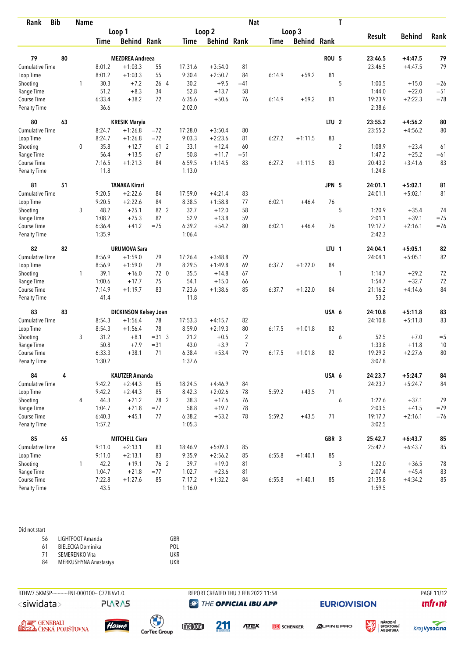| Rank                   | <b>Bib</b> | <b>Name</b> |        |                              |         |         |                    | <b>Nat</b>     |             |                    |                  | T              |               |               |        |
|------------------------|------------|-------------|--------|------------------------------|---------|---------|--------------------|----------------|-------------|--------------------|------------------|----------------|---------------|---------------|--------|
|                        |            |             |        | Loop 1                       |         |         | Loop 2             |                |             | Loop 3             |                  |                |               |               |        |
|                        |            |             | Time   | <b>Behind Rank</b>           |         | Time    | <b>Behind Rank</b> |                | <b>Time</b> | <b>Behind Rank</b> |                  |                | <b>Result</b> | <b>Behind</b> | Rank   |
| 79                     | 80         |             |        | <b>MEZDREA Andreea</b>       |         |         |                    |                |             |                    | <b>ROU 5</b>     |                | 23:46.5       | $+4:47.5$     | 79     |
| Cumulative Time        |            |             | 8:01.2 | $+1:03.3$                    | 55      | 17:31.6 | $+3:54.0$          | 81             |             |                    |                  |                | 23:46.5       | $+4:47.5$     | 79     |
| Loop Time              |            |             | 8:01.2 | $+1:03.3$                    | 55      | 9:30.4  | $+2:50.7$          | 84             | 6:14.9      | $+59.2$            | 81               |                |               |               |        |
| Shooting               |            | 1           | 30.3   | $+7.2$                       | 26 4    | 30.2    | $+9.5$             | $=41$          |             |                    |                  | 5              | 1:00.5        | $+15.0$       | $=26$  |
| Range Time             |            |             | 51.2   | $+8.3$                       | 34      | 52.8    | $+13.7$            | 58             |             |                    |                  |                | 1:44.0        | $+22.0$       | $=51$  |
| Course Time            |            |             | 6:33.4 | $+38.2$                      | 72      | 6:35.6  | $+50.6$            | 76             | 6:14.9      | $+59.2$            | 81               |                | 19:23.9       | $+2:22.3$     | $=78$  |
| <b>Penalty Time</b>    |            |             | 36.6   |                              |         | 2:02.0  |                    |                |             |                    |                  |                | 2:38.6        |               |        |
| 80                     | 63         |             |        | <b>KRESIK Maryia</b>         |         |         |                    |                |             |                    | LTU <sub>2</sub> |                | 23:55.2       | $+4:56.2$     | 80     |
| <b>Cumulative Time</b> |            |             | 8:24.7 | $+1:26.8$                    | $= 72$  | 17:28.0 | $+3:50.4$          | 80             |             |                    |                  |                | 23:55.2       | $+4:56.2$     | 80     |
| Loop Time              |            |             | 8:24.7 | $+1:26.8$                    | $= 72$  | 9:03.3  | $+2:23.6$          | 81             | 6:27.2      | $+1:11.5$          | 83               |                |               |               |        |
| Shooting               |            | 0           | 35.8   | $+12.7$                      | 61 2    | 33.1    | $+12.4$            | 60             |             |                    |                  | $\overline{2}$ | 1:08.9        | $+23.4$       | 61     |
| Range Time             |            |             | 56.4   | $+13.5$                      | 67      | 50.8    | $+11.7$            | $= 51$         |             |                    |                  |                | 1:47.2        | $+25.2$       | $=61$  |
| Course Time            |            |             | 7:16.5 | $+1:21.3$                    | 84      | 6:59.5  | $+1:14.5$          | 83             | 6:27.2      | $+1:11.5$          | 83               |                | 20:43.2       | $+3:41.6$     | 83     |
| <b>Penalty Time</b>    |            |             | 11.8   |                              |         | 1:13.0  |                    |                |             |                    |                  |                | 1:24.8        |               |        |
| 81                     | 51         |             |        | <b>TANAKA Kirari</b>         |         |         |                    |                |             |                    | JPN 5            |                | 24:01.1       | $+5:02.1$     | 81     |
| <b>Cumulative Time</b> |            |             | 9:20.5 | $+2:22.6$                    | 84      | 17:59.0 | $+4:21.4$          | 83             |             |                    |                  |                | 24:01.1       | $+5:02.1$     | 81     |
| Loop Time              |            |             | 9:20.5 | $+2:22.6$                    | 84      | 8:38.5  | $+1:58.8$          | 77             | 6:02.1      | $+46.4$            | 76               |                |               |               |        |
| Shooting               |            | 3           | 48.2   | $+25.1$                      | 82 2    | 32.7    | $+12.0$            | 58             |             |                    |                  | 5              | 1:20.9        | $+35.4$       | 74     |
| Range Time             |            |             | 1:08.2 | $+25.3$                      | 82      | 52.9    | $+13.8$            | 59             |             |                    |                  |                | 2:01.1        | $+39.1$       | $=75$  |
| Course Time            |            |             | 6:36.4 | $+41.2$                      | $=75$   | 6:39.2  | $+54.2$            | 80             | 6:02.1      | $+46.4$            | 76               |                | 19:17.7       | $+2:16.1$     | $= 76$ |
| <b>Penalty Time</b>    |            |             | 1:35.9 |                              |         | 1:06.4  |                    |                |             |                    |                  |                | 2:42.3        |               |        |
| 82                     | 82         |             |        | <b>URUMOVA Sara</b>          |         |         |                    |                |             |                    | LTU <sub>1</sub> |                | 24:04.1       | $+5:05.1$     | 82     |
| Cumulative Time        |            |             | 8:56.9 | $+1:59.0$                    | 79      | 17:26.4 | $+3:48.8$          | 79             |             |                    |                  |                | 24:04.1       | $+5:05.1$     | 82     |
| Loop Time              |            |             | 8:56.9 | $+1:59.0$                    | 79      | 8:29.5  | $+1:49.8$          | 69             | 6:37.7      | $+1:22.0$          | 84               |                |               |               |        |
| Shooting               |            | 1           | 39.1   | $+16.0$                      | 72 0    | 35.5    | $+14.8$            | 67             |             |                    |                  | 1              | 1:14.7        | $+29.2$       | 72     |
| Range Time             |            |             | 1:00.6 | $+17.7$                      | 75      | 54.1    | $+15.0$            | 66             |             |                    |                  |                | 1:54.7        | $+32.7$       | 72     |
| Course Time            |            |             | 7:14.9 | $+1:19.7$                    | 83      | 7:23.6  | $+1:38.6$          | 85             | 6:37.7      | $+1:22.0$          | 84               |                | 21:16.2       | $+4:14.6$     | 84     |
| <b>Penalty Time</b>    |            |             | 41.4   |                              |         | 11.8    |                    |                |             |                    |                  |                | 53.2          |               |        |
| 83                     | 83         |             |        | <b>DICKINSON Kelsey Joan</b> |         |         |                    |                |             |                    | USA 6            |                | 24:10.8       | $+5:11.8$     | 83     |
| <b>Cumulative Time</b> |            |             | 8:54.3 | $+1:56.4$                    | 78      | 17:53.3 | $+4:15.7$          | 82             |             |                    |                  |                | 24:10.8       | $+5:11.8$     | 83     |
| Loop Time              |            |             | 8:54.3 | $+1:56.4$                    | 78      | 8:59.0  | $+2:19.3$          | 80             | 6:17.5      | $+1:01.8$          | 82               |                |               |               |        |
| Shooting               |            | 3           | 31.2   | $+8.1$                       | $=31.3$ | 21.2    | $+0.5$             | $\overline{2}$ |             |                    |                  | 6              | 52.5          | $+7.0$        | $= 5$  |
| Range Time             |            |             | 50.8   | $+7.9$                       | $= 31$  | 43.0    | $+3.9$             | 7              |             |                    |                  |                | 1:33.8        | $+11.8$       | 10     |
| Course Time            |            |             | 6:33.3 | $+38.1$                      | 71      | 6:38.4  | $+53.4$            | 79             | 6:17.5      | $+1:01.8$          | 82               |                | 19:29.2       | $+2:27.6$     | 80     |
| <b>Penalty Time</b>    |            |             | 1:30.2 |                              |         | 1:37.6  |                    |                |             |                    |                  |                | 3:07.8        |               |        |
| 84                     | 4          |             |        | <b>KAUTZER Amanda</b>        |         |         |                    |                |             |                    | USA 6            |                | 24:23.7       | $+5:24.7$     | 84     |
| Cumulative Time        |            |             | 9:42.2 | $+2:44.3$                    | 85      | 18:24.5 | $+4:46.9$          | 84             |             |                    |                  |                | 24:23.7       | $+5:24.7$     | 84     |
| Loop Time              |            |             | 9:42.2 | $+2:44.3$                    | 85      | 8:42.3  | $+2:02.6$          | 78             | 5:59.2      | $+43.5$            | 71               |                |               |               |        |
| Shooting               |            | 4           | 44.3   | $+21.2$                      | 78 2    | 38.3    | $+17.6$            | 76             |             |                    |                  | 6              | 1:22.6        | $+37.1$       | 79     |
| Range Time             |            |             | 1:04.7 | $+21.8$                      | $= 77$  | 58.8    | $+19.7$            | 78             |             |                    |                  |                | 2:03.5        | $+41.5$       | $=79$  |
| Course Time            |            |             | 6:40.3 | $+45.1$                      | 77      | 6:38.2  | $+53.2$            | 78             | 5:59.2      | $+43.5$            | 71               |                | 19:17.7       | $+2:16.1$     | $= 76$ |
| Penalty Time           |            |             | 1:57.2 |                              |         | 1:05.3  |                    |                |             |                    |                  |                | 3:02.5        |               |        |
| 85                     | 65         |             |        | <b>MITCHELL Ciara</b>        |         |         |                    |                |             |                    | GBR 3            |                | 25:42.7       | $+6:43.7$     | 85     |
| Cumulative Time        |            |             | 9:11.0 | $+2:13.1$                    | 83      | 18:46.9 | $+5:09.3$          | 85             |             |                    |                  |                | 25:42.7       | $+6:43.7$     | 85     |
| Loop Time              |            |             | 9:11.0 | $+2:13.1$                    | 83      | 9:35.9  | $+2:56.2$          | 85             | 6:55.8      | $+1:40.1$          | 85               |                |               |               |        |
| Shooting               |            | 1           | 42.2   | $+19.1$                      | 76 2    | 39.7    | $+19.0$            | 81             |             |                    |                  | $\sqrt{3}$     | 1:22.0        | $+36.5$       | 78     |
| Range Time             |            |             | 1:04.7 | $+21.8$                      | $= 77$  | 1:02.7  | $+23.6$            | 81             |             |                    |                  |                | 2:07.4        | $+45.4$       | 83     |
| Course Time            |            |             | 7:22.8 | $+1:27.6$                    | 85      | 7:17.2  | $+1:32.2$          | 84             | 6:55.8      | $+1:40.1$          | 85               |                | 21:35.8       | $+4:34.2$     | 85     |
| <b>Penalty Time</b>    |            |             | 43.5   |                              |         | 1:16.0  |                    |                |             |                    |                  |                | 1:59.5        |               |        |

## Did not start

| 56  | LIGHTFOOT Amanda      | GBR        |
|-----|-----------------------|------------|
| -61 | BIELECKA Dominika     | POL        |
| -71 | SEMERENKO Vita        | UKR        |
| 84  | MERKUSHYNA Anastasiya | <b>UKR</b> |